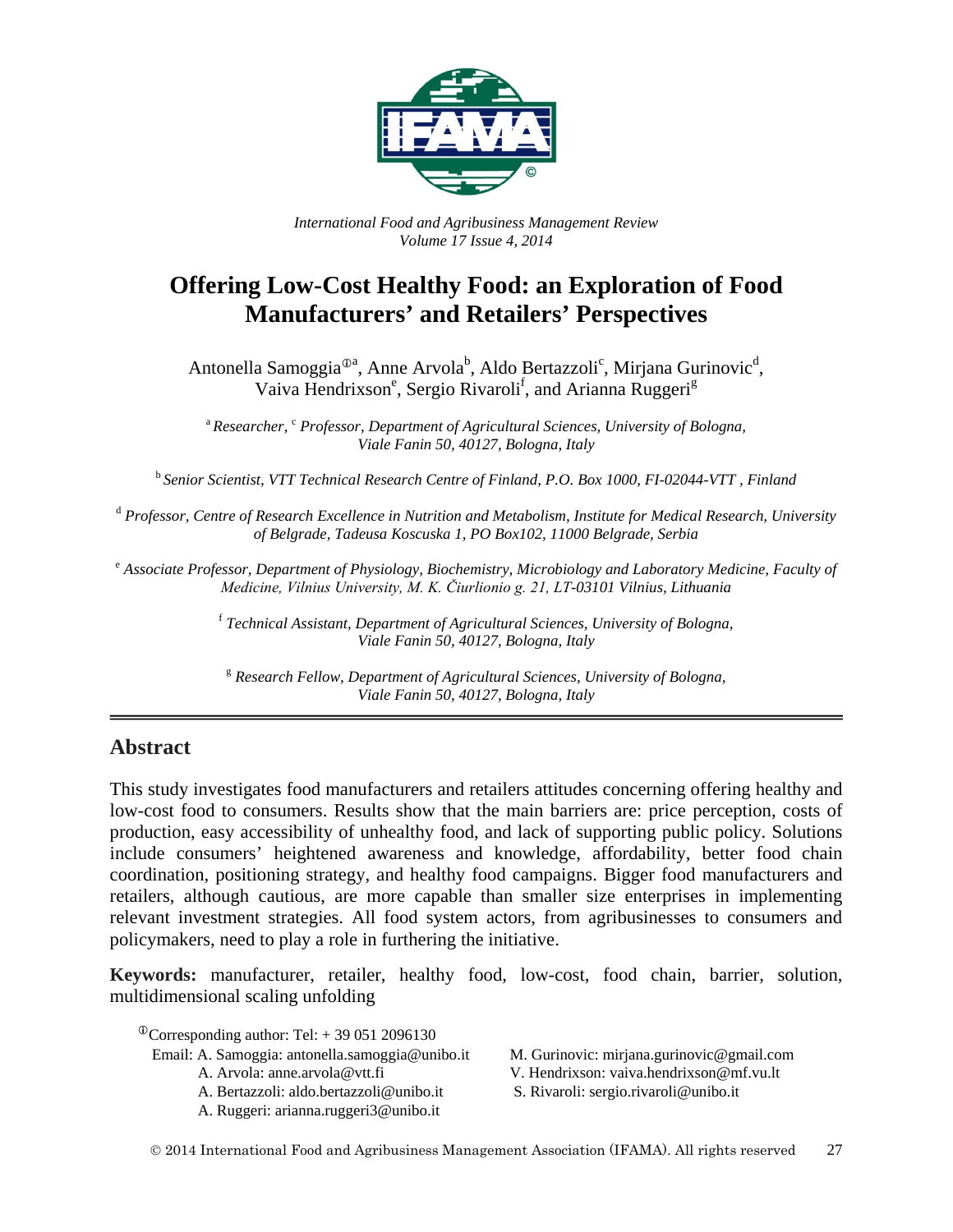

*International Food and Agribusiness Management Review Volume 17 Issue 4, 2014*

# **Offering Low-Cost Healthy Food: an Exploration of Food Manufacturers' and Retailers' Perspectives**

Antonella Samoggia<sup>®a</sup>, Anne Arvola<sup>b</sup>, Aldo Bertazzoli<sup>c</sup>, Mirjana Gurinovic<sup>d</sup>, Vaiva Hendrixson<sup>e</sup>, Sergio Rivaroli<sup>f</sup>, and Arianna Ruggeri<sup>g</sup>

<sup>a</sup> Researcher, <sup>c</sup> Professor, Department of Agricultural Sciences, University of Bologna, *Viale Fanin 50, 40127, Bologna, Italy*

<sup>b</sup> *Senior Scientist, VTT Technical Research Centre of Finland, P.O. Box 1000, FI-02044-VTT , Finland*

<sup>d</sup> *Professor, Centre of Research Excellence in Nutrition and Metabolism, Institute for Medical Research, University of Belgrade, Tadeusa Koscuska 1, PO Box102, 11000 Belgrade, Serbia*

<sup>e</sup> *Associate Professor, Department of Physiology, Biochemistry, Microbiology and Laboratory Medicine, Faculty of Medicine, Vilnius University, M. K. Čiurlionio g. 21, LT-03101 Vilnius, Lithuania*

> <sup>f</sup> *Technical Assistant, Department of Agricultural Sciences, University of Bologna, Viale Fanin 50, 40127, Bologna, Italy*

<sup>g</sup> *Research Fellow, Department of Agricultural Sciences, University of Bologna, Viale Fanin 50, 40127, Bologna, Italy*

## **Abstract**

This study investigates food manufacturers and retailers attitudes concerning offering healthy and low-cost food to consumers. Results show that the main barriers are: price perception, costs of production, easy accessibility of unhealthy food, and lack of supporting public policy. Solutions include consumers' heightened awareness and knowledge, affordability, better food chain coordination, positioning strategy, and healthy food campaigns. Bigger food manufacturers and retailers, although cautious, are more capable than smaller size enterprises in implementing relevant investment strategies. All food system actors, from agribusinesses to consumers and policymakers, need to play a role in furthering the initiative.

**Keywords:** manufacturer, retailer, healthy food, low-cost, food chain, barrier, solution, multidimensional scaling unfolding

 $^{\circ}$ Corresponding author: Tel: + 39 051 2096130

- Email: A. Samoggia: antonella.samoggia@unibo.it M. Gurinovic: mirjana.gurinovic@gmail.com
	-
	-
	- A. Ruggeri: arianna.ruggeri3@unibo.it

A. Arvola: anne.arvola@vtt.fi V. Hendrixson: vaiva.hendrixson@mf.vu.lt

A. Bertazzoli: aldo.bertazzoli@unibo.it S. Rivaroli: sergio.rivaroli@unibo.it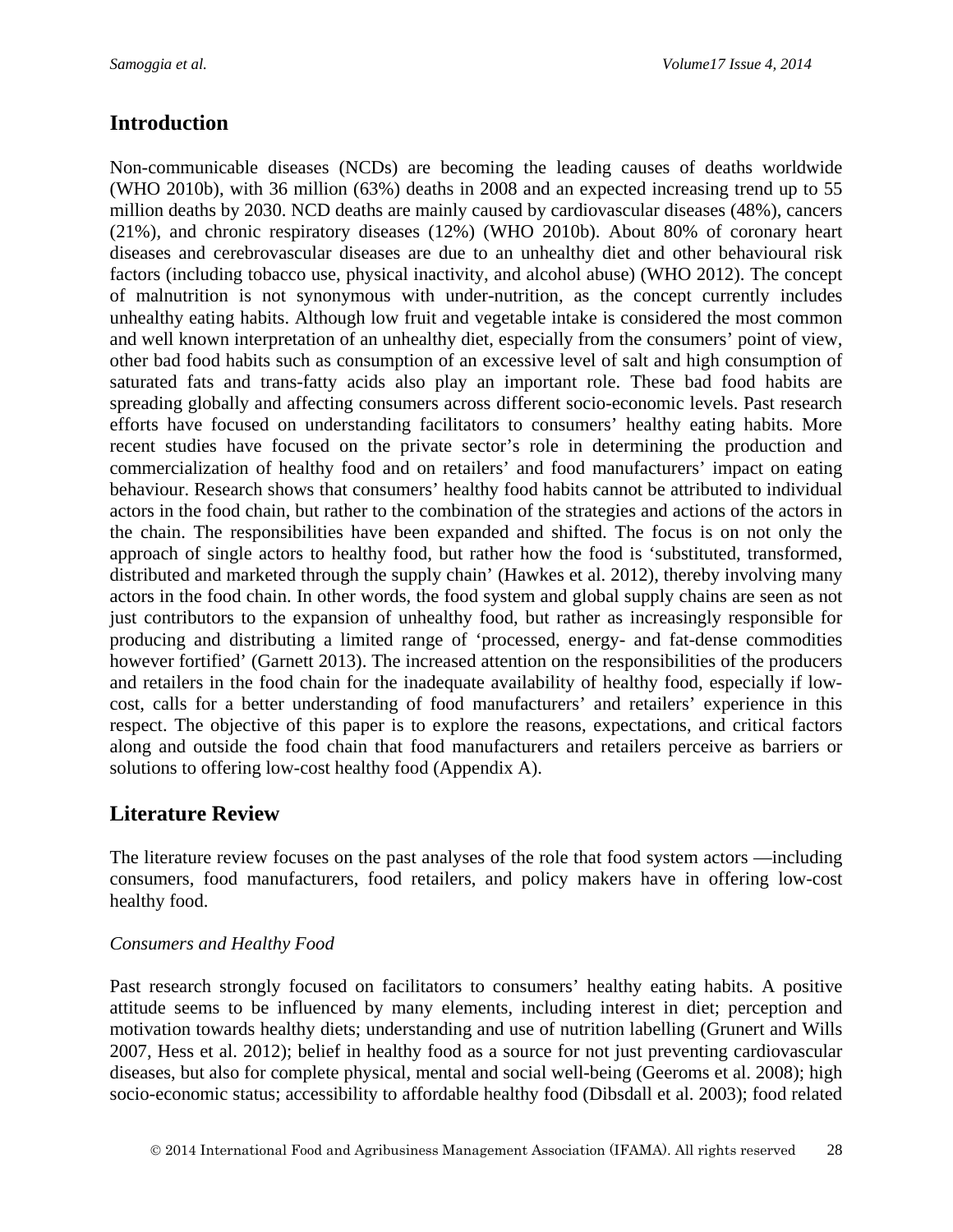# **Introduction**

Non-communicable diseases (NCDs) are becoming the leading causes of deaths worldwide (WHO 2010b), with 36 million (63%) deaths in 2008 and an expected increasing trend up to 55 million deaths by 2030. NCD deaths are mainly caused by cardiovascular diseases (48%), cancers (21%), and chronic respiratory diseases (12%) (WHO 2010b). About 80% of coronary heart diseases and cerebrovascular diseases are due to an unhealthy diet and other behavioural risk factors (including tobacco use, physical inactivity, and alcohol abuse) (WHO 2012). The concept of malnutrition is not synonymous with under-nutrition, as the concept currently includes unhealthy eating habits. Although low fruit and vegetable intake is considered the most common and well known interpretation of an unhealthy diet, especially from the consumers' point of view, other bad food habits such as consumption of an excessive level of salt and high consumption of saturated fats and trans-fatty acids also play an important role. These bad food habits are spreading globally and affecting consumers across different socio-economic levels. Past research efforts have focused on understanding facilitators to consumers' healthy eating habits. More recent studies have focused on the private sector's role in determining the production and commercialization of healthy food and on retailers' and food manufacturers' impact on eating behaviour. Research shows that consumers' healthy food habits cannot be attributed to individual actors in the food chain, but rather to the combination of the strategies and actions of the actors in the chain. The responsibilities have been expanded and shifted. The focus is on not only the approach of single actors to healthy food, but rather how the food is 'substituted, transformed, distributed and marketed through the supply chain' (Hawkes et al. 2012), thereby involving many actors in the food chain. In other words, the food system and global supply chains are seen as not just contributors to the expansion of unhealthy food, but rather as increasingly responsible for producing and distributing a limited range of 'processed, energy- and fat-dense commodities however fortified' (Garnett 2013). The increased attention on the responsibilities of the producers and retailers in the food chain for the inadequate availability of healthy food, especially if lowcost, calls for a better understanding of food manufacturers' and retailers' experience in this respect. The objective of this paper is to explore the reasons, expectations, and critical factors along and outside the food chain that food manufacturers and retailers perceive as barriers or solutions to offering low-cost healthy food (Appendix A).

# **Literature Review**

The literature review focuses on the past analyses of the role that food system actors —including consumers, food manufacturers, food retailers, and policy makers have in offering low-cost healthy food.

## *Consumers and Healthy Food*

Past research strongly focused on facilitators to consumers' healthy eating habits. A positive attitude seems to be influenced by many elements, including interest in diet; perception and motivation towards healthy diets; understanding and use of nutrition labelling (Grunert and Wills 2007, Hess et al. 2012); belief in healthy food as a source for not just preventing cardiovascular diseases, but also for complete physical, mental and social well-being (Geeroms et al. 2008); high socio-economic status; accessibility to affordable healthy food (Dibsdall et al. 2003); food related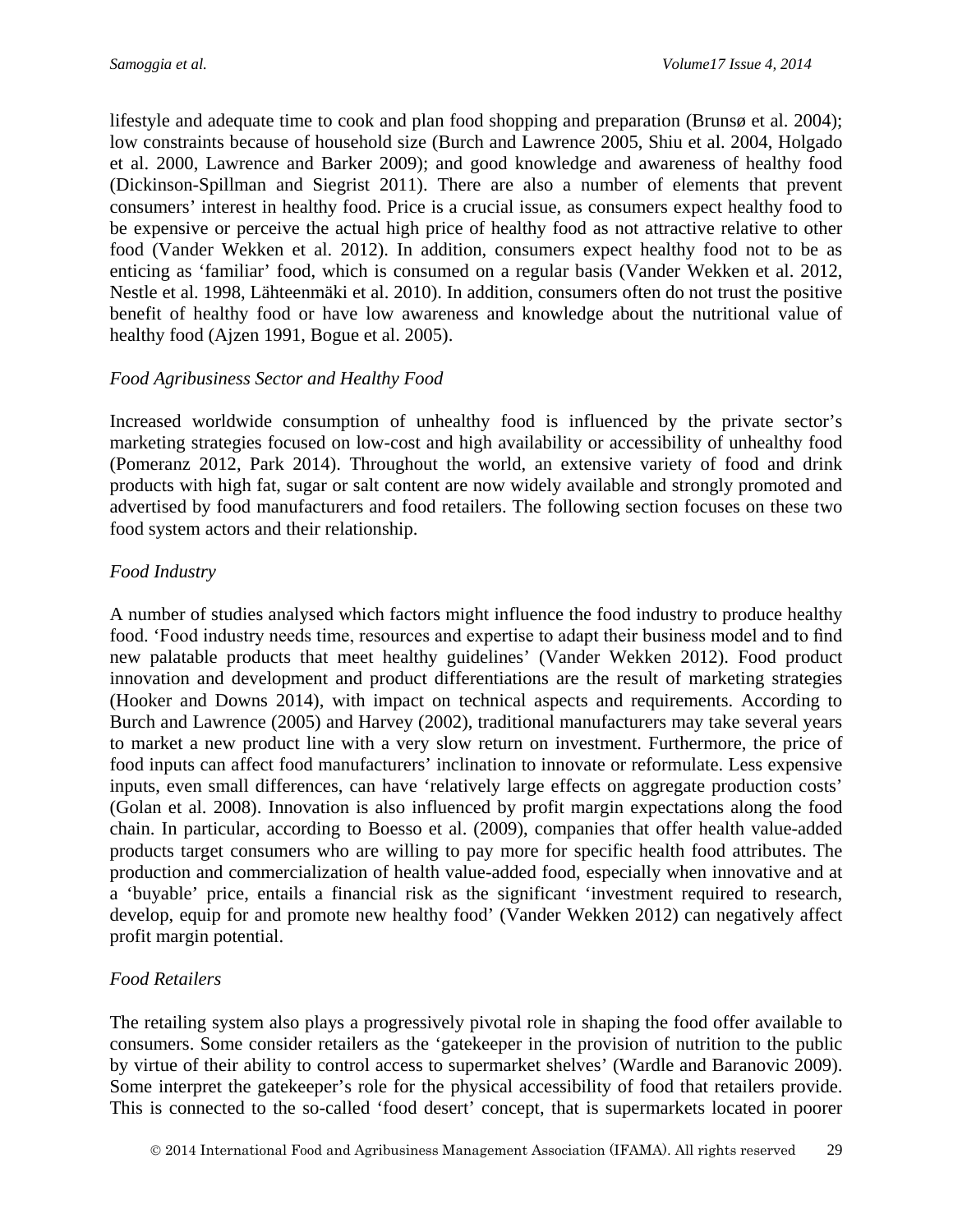lifestyle and adequate time to cook and plan food shopping and preparation (Brunsø et al. 2004); low constraints because of household size (Burch and Lawrence 2005, Shiu et al. 2004, Holgado et al. 2000, Lawrence and Barker 2009); and good knowledge and awareness of healthy food (Dickinson-Spillman and Siegrist 2011). There are also a number of elements that prevent consumers' interest in healthy food. Price is a crucial issue, as consumers expect healthy food to be expensive or perceive the actual high price of healthy food as not attractive relative to other food (Vander Wekken et al. 2012). In addition, consumers expect healthy food not to be as enticing as 'familiar' food, which is consumed on a regular basis (Vander Wekken et al. 2012, Nestle et al. 1998, Lähteenmäki et al. 2010). In addition, consumers often do not trust the positive benefit of healthy food or have low awareness and knowledge about the nutritional value of healthy food (Ajzen 1991, Bogue et al. 2005).

### *Food Agribusiness Sector and Healthy Food*

Increased worldwide consumption of unhealthy food is influenced by the private sector's marketing strategies focused on low-cost and high availability or accessibility of unhealthy food (Pomeranz 2012, Park 2014). Throughout the world, an extensive variety of food and drink products with high fat, sugar or salt content are now widely available and strongly promoted and advertised by food manufacturers and food retailers. The following section focuses on these two food system actors and their relationship.

### *Food Industry*

A number of studies analysed which factors might influence the food industry to produce healthy food. 'Food industry needs time, resources and expertise to adapt their business model and to find new palatable products that meet healthy guidelines' (Vander Wekken 2012). Food product innovation and development and product differentiations are the result of marketing strategies (Hooker and Downs 2014), with impact on technical aspects and requirements. According to Burch and Lawrence (2005) and Harvey (2002), traditional manufacturers may take several years to market a new product line with a very slow return on investment. Furthermore, the price of food inputs can affect food manufacturers' inclination to innovate or reformulate. Less expensive inputs, even small differences, can have 'relatively large effects on aggregate production costs' (Golan et al. 2008). Innovation is also influenced by profit margin expectations along the food chain. In particular, according to Boesso et al. (2009), companies that offer health value-added products target consumers who are willing to pay more for specific health food attributes. The production and commercialization of health value-added food, especially when innovative and at a 'buyable' price, entails a financial risk as the significant 'investment required to research, develop, equip for and promote new healthy food' (Vander Wekken 2012) can negatively affect profit margin potential.

### *Food Retailers*

The retailing system also plays a progressively pivotal role in shaping the food offer available to consumers. Some consider retailers as the 'gatekeeper in the provision of nutrition to the public by virtue of their ability to control access to supermarket shelves' (Wardle and Baranovic 2009). Some interpret the gatekeeper's role for the physical accessibility of food that retailers provide. This is connected to the so-called 'food desert' concept, that is supermarkets located in poorer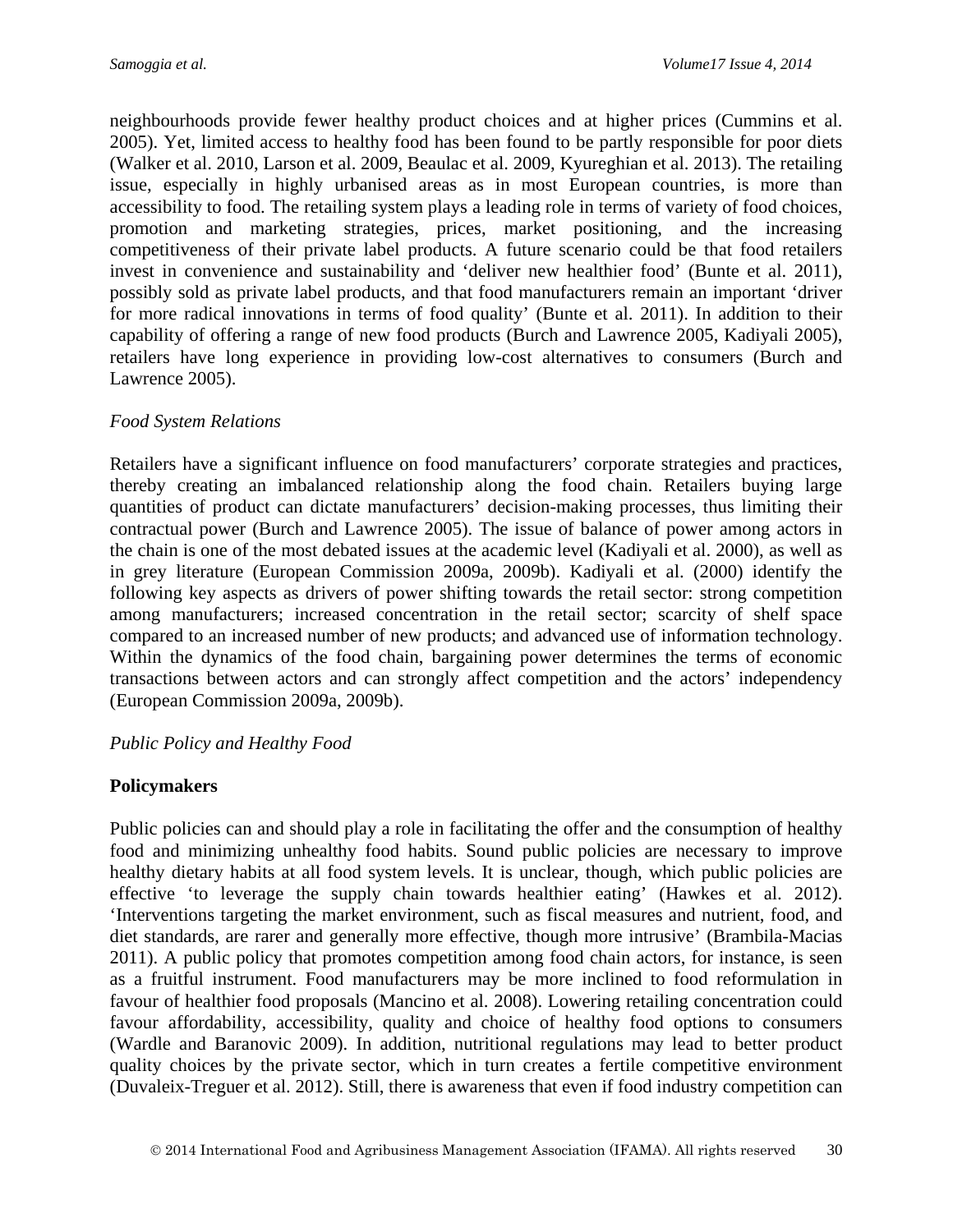neighbourhoods provide fewer healthy product choices and at higher prices (Cummins et al. 2005). Yet, limited access to healthy food has been found to be partly responsible for poor diets (Walker et al. 2010, Larson et al. 2009, Beaulac et al. 2009, Kyureghian et al. 2013). The retailing issue, especially in highly urbanised areas as in most European countries, is more than accessibility to food. The retailing system plays a leading role in terms of variety of food choices, promotion and marketing strategies, prices, market positioning, and the increasing competitiveness of their private label products. A future scenario could be that food retailers invest in convenience and sustainability and 'deliver new healthier food' (Bunte et al. 2011), possibly sold as private label products, and that food manufacturers remain an important 'driver for more radical innovations in terms of food quality' (Bunte et al. 2011). In addition to their capability of offering a range of new food products (Burch and Lawrence 2005, Kadiyali 2005), retailers have long experience in providing low-cost alternatives to consumers (Burch and Lawrence 2005).

#### *Food System Relations*

Retailers have a significant influence on food manufacturers' corporate strategies and practices, thereby creating an imbalanced relationship along the food chain. Retailers buying large quantities of product can dictate manufacturers' decision-making processes, thus limiting their contractual power (Burch and Lawrence 2005). The issue of balance of power among actors in the chain is one of the most debated issues at the academic level (Kadiyali et al. 2000), as well as in grey literature (European Commission 2009a, 2009b). Kadiyali et al. (2000) identify the following key aspects as drivers of power shifting towards the retail sector: strong competition among manufacturers; increased concentration in the retail sector; scarcity of shelf space compared to an increased number of new products; and advanced use of information technology. Within the dynamics of the food chain, bargaining power determines the terms of economic transactions between actors and can strongly affect competition and the actors' independency (European Commission 2009a, 2009b).

#### *Public Policy and Healthy Food*

#### **Policymakers**

Public policies can and should play a role in facilitating the offer and the consumption of healthy food and minimizing unhealthy food habits. Sound public policies are necessary to improve healthy dietary habits at all food system levels. It is unclear, though, which public policies are effective 'to leverage the supply chain towards healthier eating' (Hawkes et al. 2012). 'Interventions targeting the market environment, such as fiscal measures and nutrient, food, and diet standards, are rarer and generally more effective, though more intrusive' (Brambila-Macias 2011). A public policy that promotes competition among food chain actors, for instance, is seen as a fruitful instrument. Food manufacturers may be more inclined to food reformulation in favour of healthier food proposals (Mancino et al. 2008). Lowering retailing concentration could favour affordability, accessibility, quality and choice of healthy food options to consumers (Wardle and Baranovic 2009). In addition, nutritional regulations may lead to better product quality choices by the private sector, which in turn creates a fertile competitive environment (Duvaleix-Treguer et al. 2012). Still, there is awareness that even if food industry competition can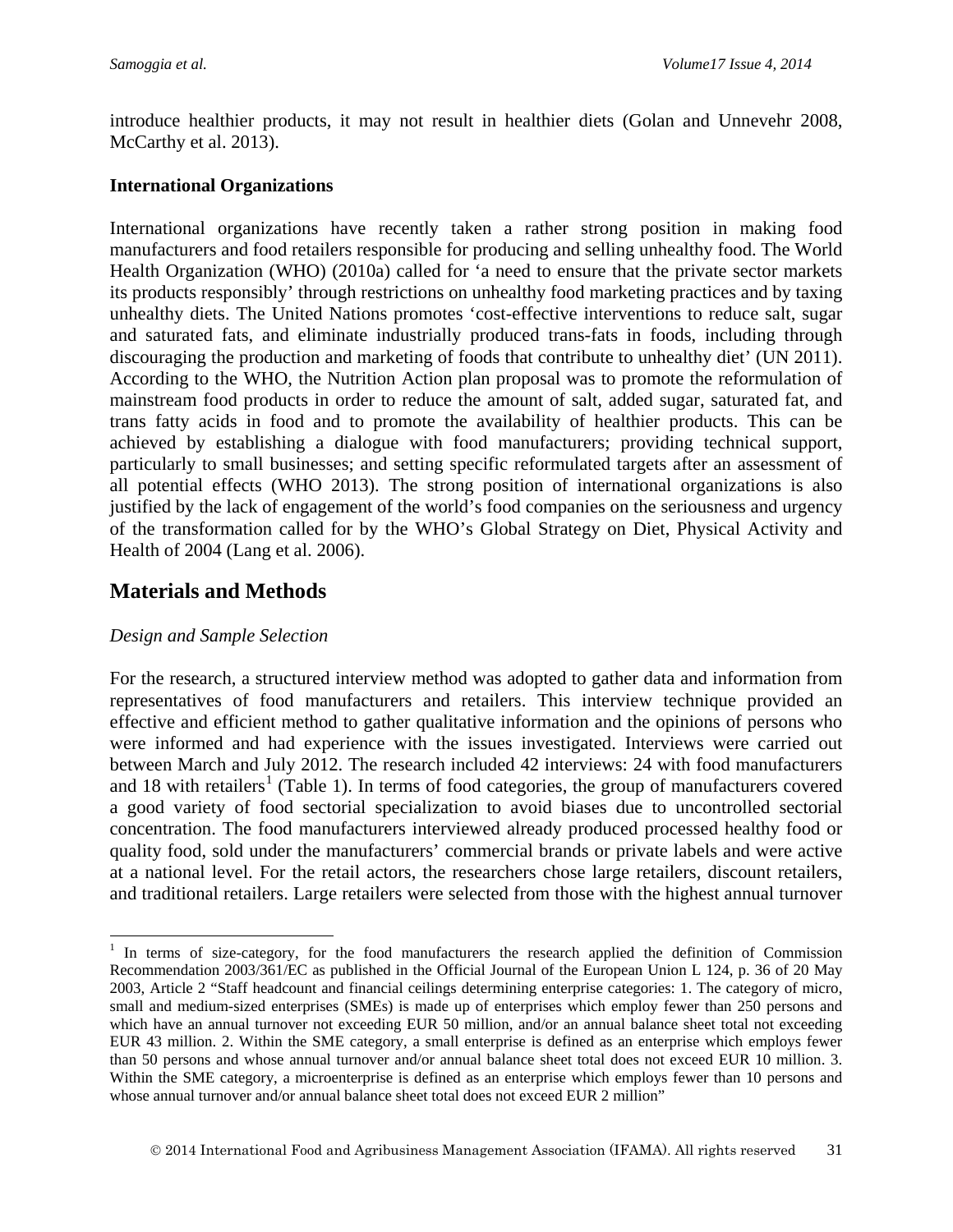introduce healthier products, it may not result in healthier diets (Golan and Unnevehr 2008, McCarthy et al. 2013).

#### **International Organizations**

International organizations have recently taken a rather strong position in making food manufacturers and food retailers responsible for producing and selling unhealthy food. The World Health Organization (WHO) (2010a) called for 'a need to ensure that the private sector markets its products responsibly' through restrictions on unhealthy food marketing practices and by taxing unhealthy diets. The United Nations promotes 'cost-effective interventions to reduce salt, sugar and saturated fats, and eliminate industrially produced trans-fats in foods, including through discouraging the production and marketing of foods that contribute to unhealthy diet' (UN 2011). According to the WHO, the Nutrition Action plan proposal was to promote the reformulation of mainstream food products in order to reduce the amount of salt, added sugar, saturated fat, and trans fatty acids in food and to promote the availability of healthier products. This can be achieved by establishing a dialogue with food manufacturers; providing technical support, particularly to small businesses; and setting specific reformulated targets after an assessment of all potential effects (WHO 2013). The strong position of international organizations is also justified by the lack of engagement of the world's food companies on the seriousness and urgency of the transformation called for by the WHO's Global Strategy on Diet, Physical Activity and Health of 2004 (Lang et al. 2006).

## **Materials and Methods**

#### *Design and Sample Selection*

 $\overline{a}$ 

For the research, a structured interview method was adopted to gather data and information from representatives of food manufacturers and retailers. This interview technique provided an effective and efficient method to gather qualitative information and the opinions of persons who were informed and had experience with the issues investigated. Interviews were carried out between March and July 2012. The research included 42 interviews: 24 with food manufacturers and [1](#page-4-0)8 with retailers<sup>1</sup> (Table 1). In terms of food categories, the group of manufacturers covered a good variety of food sectorial specialization to avoid biases due to uncontrolled sectorial concentration. The food manufacturers interviewed already produced processed healthy food or quality food, sold under the manufacturers' commercial brands or private labels and were active at a national level. For the retail actors, the researchers chose large retailers, discount retailers, and traditional retailers. Large retailers were selected from those with the highest annual turnover

<span id="page-4-0"></span><sup>&</sup>lt;sup>1</sup> In terms of size-category, for the food manufacturers the research applied the definition of Commission Recommendation 2003/361/EC as published in the Official Journal of the European Union L 124, p. 36 of 20 May 2003, Article 2 "Staff headcount and financial ceilings determining enterprise categories: 1. The category of micro, small and medium-sized enterprises (SMEs) is made up of enterprises which employ fewer than 250 persons and which have an annual turnover not exceeding EUR 50 million, and/or an annual balance sheet total not exceeding EUR 43 million. 2. Within the SME category, a small enterprise is defined as an enterprise which employs fewer than 50 persons and whose annual turnover and/or annual balance sheet total does not exceed EUR 10 million. 3. Within the SME category, a microenterprise is defined as an enterprise which employs fewer than 10 persons and whose annual turnover and/or annual balance sheet total does not exceed EUR 2 million"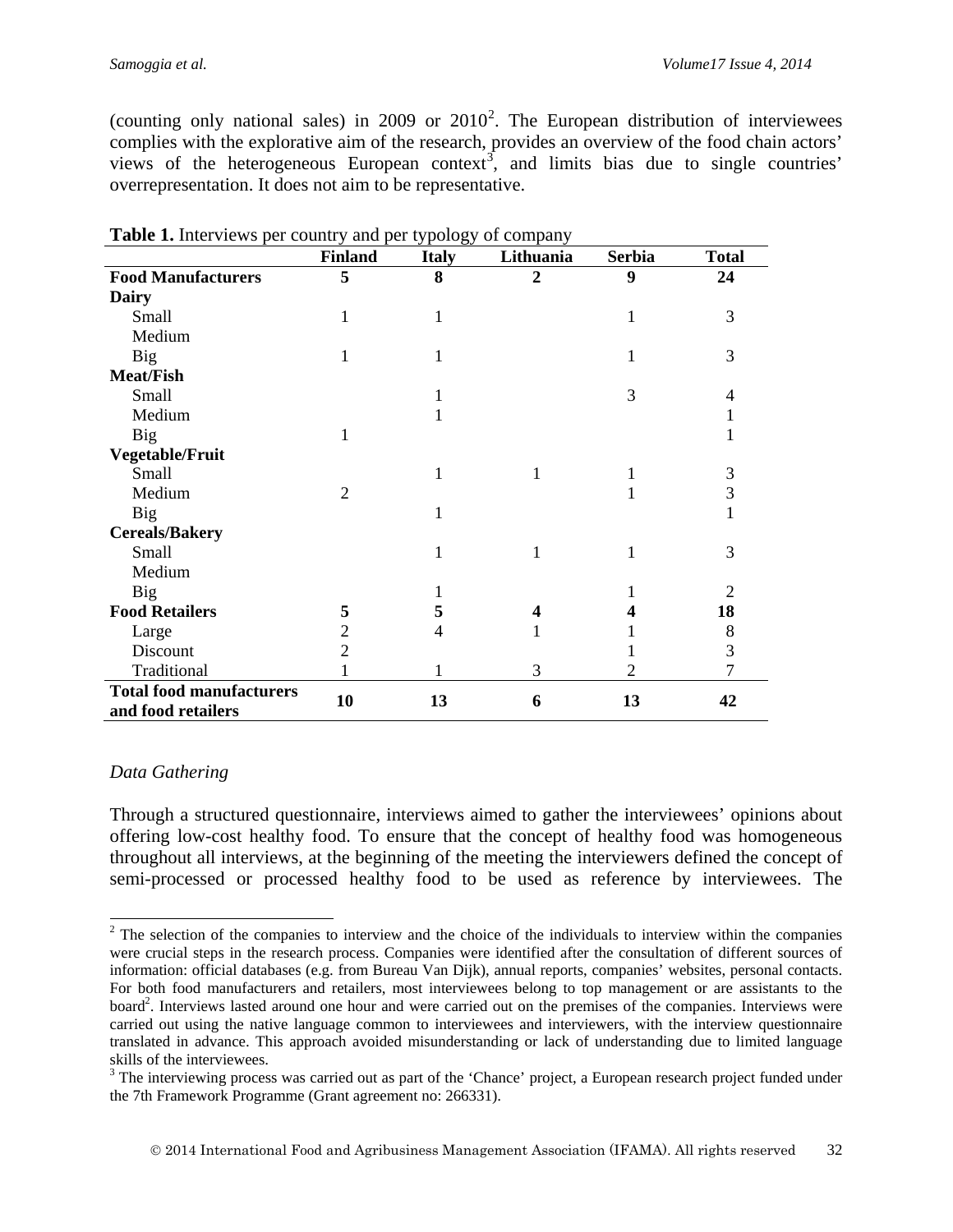(counting only national sales) in [2](#page-5-0)009 or  $2010^2$ . The European distribution of interviewees complies with the explorative aim of the research, provides an overview of the food chain actors' views of the heterogeneous European context<sup>[3](#page-5-1)</sup>, and limits bias due to single countries' overrepresentation. It does not aim to be representative.

|                                                       | <b>Finland</b> | <b>Italy</b> | Lithuania               | <b>Serbia</b> | <b>Total</b>   |
|-------------------------------------------------------|----------------|--------------|-------------------------|---------------|----------------|
| <b>Food Manufacturers</b>                             | 5              | 8            | $\overline{2}$          | 9             | 24             |
| <b>Dairy</b>                                          |                |              |                         |               |                |
| <b>Small</b>                                          |                | 1            |                         |               | 3              |
| Medium                                                |                |              |                         |               |                |
| <b>Big</b>                                            |                | 1            |                         | 1             | 3              |
| <b>Meat/Fish</b>                                      |                |              |                         |               |                |
| Small                                                 |                |              |                         | 3             | 4              |
| Medium                                                |                |              |                         |               | 1              |
| <b>Big</b>                                            | 1              |              |                         |               |                |
| <b>Vegetable/Fruit</b>                                |                |              |                         |               |                |
| Small                                                 |                | 1            | 1                       |               | 3              |
| Medium                                                | $\overline{2}$ |              |                         |               | 3              |
| <b>Big</b>                                            |                | 1            |                         |               | 1              |
| <b>Cereals/Bakery</b>                                 |                |              |                         |               |                |
| Small                                                 |                | 1            | 1                       | 1             | 3              |
| Medium                                                |                |              |                         |               |                |
| <b>Big</b>                                            |                |              |                         |               | 2              |
| <b>Food Retailers</b>                                 | 5              | 5            | $\overline{\mathbf{4}}$ | 4             | 18             |
| Large                                                 | 2              | 4            |                         |               | 8              |
| Discount                                              | $\overline{2}$ |              |                         |               | 3              |
| Traditional                                           |                |              | 3                       | 2             | $\overline{7}$ |
| <b>Total food manufacturers</b><br>and food retailers | 10             | 13           | 6                       | 13            | 42             |

**Table 1.** Interviews per country and per typology of company

### *Data Gathering*

Through a structured questionnaire, interviews aimed to gather the interviewees' opinions about offering low-cost healthy food. To ensure that the concept of healthy food was homogeneous throughout all interviews, at the beginning of the meeting the interviewers defined the concept of semi-processed or processed healthy food to be used as reference by interviewees. The

<span id="page-5-0"></span><sup>&</sup>lt;sup>2</sup> The selection of the companies to interview and the choice of the individuals to interview within the companies were crucial steps in the research process. Companies were identified after the consultation of different sources of information: official databases (e.g. from Bureau Van Dijk), annual reports, companies' websites, personal contacts. For both food manufacturers and retailers, most interviewees belong to top management or are assistants to the board<sup>2</sup>. Interviews lasted around one hour and were carried out on the premises of the companies. Interviews were carried out using the native language common to interviewees and interviewers, with the interview questionnaire translated in advance. This approach avoided misunderstanding or lack of understanding due to limited language skills of the interviewees.  $\overline{a}$ 

<span id="page-5-1"></span><sup>&</sup>lt;sup>3</sup> The interviewing process was carried out as part of the 'Chance' project, a European research project funded under the 7th Framework Programme (Grant agreement no: 266331).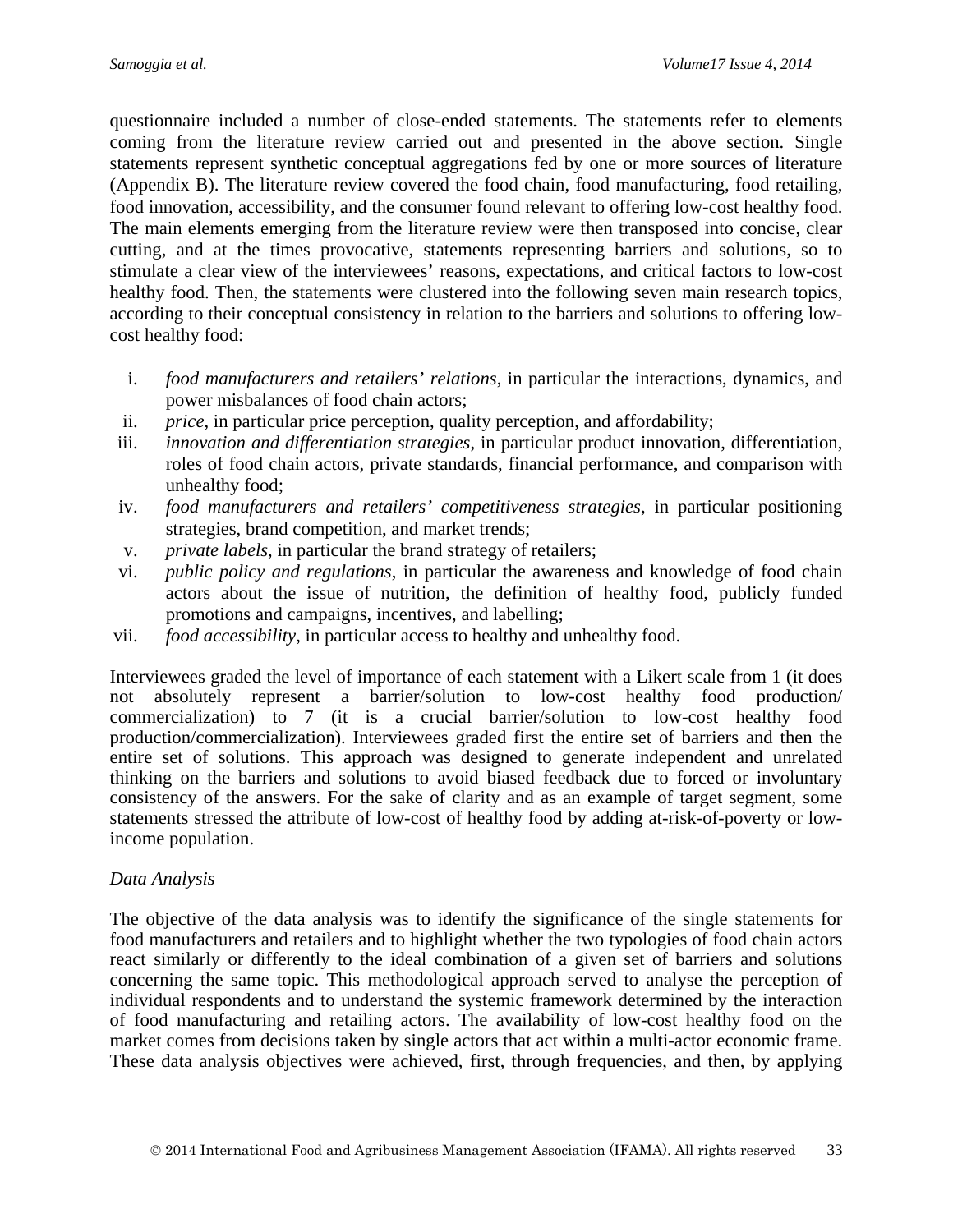questionnaire included a number of close-ended statements. The statements refer to elements coming from the literature review carried out and presented in the above section. Single statements represent synthetic conceptual aggregations fed by one or more sources of literature (Appendix B). The literature review covered the food chain, food manufacturing, food retailing, food innovation, accessibility, and the consumer found relevant to offering low-cost healthy food. The main elements emerging from the literature review were then transposed into concise, clear cutting, and at the times provocative, statements representing barriers and solutions, so to stimulate a clear view of the interviewees' reasons, expectations, and critical factors to low-cost healthy food. Then, the statements were clustered into the following seven main research topics, according to their conceptual consistency in relation to the barriers and solutions to offering lowcost healthy food:

- i. *food manufacturers and retailers' relations*, in particular the interactions, dynamics, and power misbalances of food chain actors;
- ii. *price*, in particular price perception, quality perception, and affordability;
- iii. *innovation and differentiation strategies*, in particular product innovation, differentiation, roles of food chain actors, private standards, financial performance, and comparison with unhealthy food;
- iv. *food manufacturers and retailers' competitiveness strategies*, in particular positioning strategies, brand competition, and market trends;
- v. *private labels*, in particular the brand strategy of retailers;
- vi. *public policy and regulations*, in particular the awareness and knowledge of food chain actors about the issue of nutrition, the definition of healthy food, publicly funded promotions and campaigns, incentives, and labelling;
- vii. *food accessibility*, in particular access to healthy and unhealthy food.

Interviewees graded the level of importance of each statement with a Likert scale from 1 (it does not absolutely represent a barrier/solution to low-cost healthy food production/ commercialization) to 7 (it is a crucial barrier/solution to low-cost healthy food production/commercialization). Interviewees graded first the entire set of barriers and then the entire set of solutions. This approach was designed to generate independent and unrelated thinking on the barriers and solutions to avoid biased feedback due to forced or involuntary consistency of the answers. For the sake of clarity and as an example of target segment, some statements stressed the attribute of low-cost of healthy food by adding at-risk-of-poverty or lowincome population.

#### *Data Analysis*

The objective of the data analysis was to identify the significance of the single statements for food manufacturers and retailers and to highlight whether the two typologies of food chain actors react similarly or differently to the ideal combination of a given set of barriers and solutions concerning the same topic. This methodological approach served to analyse the perception of individual respondents and to understand the systemic framework determined by the interaction of food manufacturing and retailing actors. The availability of low-cost healthy food on the market comes from decisions taken by single actors that act within a multi-actor economic frame. These data analysis objectives were achieved, first, through frequencies, and then, by applying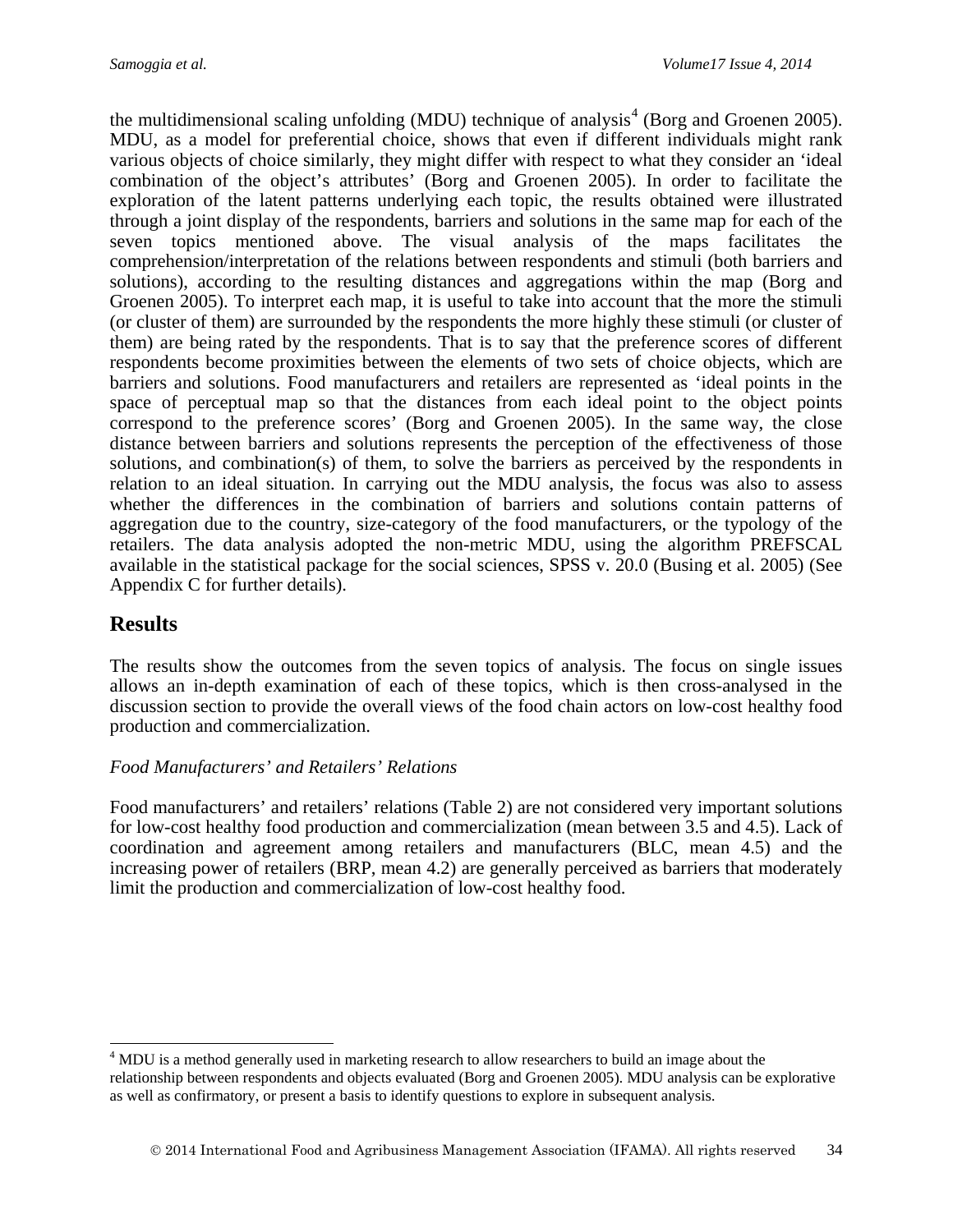the multidimensional scaling unfolding (MDU) technique of analysis<sup>[4](#page-7-0)</sup> (Borg and Groenen 2005). MDU, as a model for preferential choice, shows that even if different individuals might rank various objects of choice similarly, they might differ with respect to what they consider an 'ideal combination of the object's attributes' (Borg and Groenen 2005). In order to facilitate the exploration of the latent patterns underlying each topic, the results obtained were illustrated through a joint display of the respondents, barriers and solutions in the same map for each of the seven topics mentioned above. The visual analysis of the maps facilitates the comprehension/interpretation of the relations between respondents and stimuli (both barriers and solutions), according to the resulting distances and aggregations within the map (Borg and Groenen 2005). To interpret each map, it is useful to take into account that the more the stimuli (or cluster of them) are surrounded by the respondents the more highly these stimuli (or cluster of them) are being rated by the respondents. That is to say that the preference scores of different respondents become proximities between the elements of two sets of choice objects, which are barriers and solutions. Food manufacturers and retailers are represented as 'ideal points in the space of perceptual map so that the distances from each ideal point to the object points correspond to the preference scores' (Borg and Groenen 2005). In the same way, the close distance between barriers and solutions represents the perception of the effectiveness of those solutions, and combination(s) of them, to solve the barriers as perceived by the respondents in relation to an ideal situation. In carrying out the MDU analysis, the focus was also to assess whether the differences in the combination of barriers and solutions contain patterns of aggregation due to the country, size-category of the food manufacturers, or the typology of the retailers. The data analysis adopted the non-metric MDU, using the algorithm PREFSCAL available in the statistical package for the social sciences, SPSS v. 20.0 (Busing et al. 2005) (See Appendix C for further details).

## **Results**

 $\overline{a}$ 

The results show the outcomes from the seven topics of analysis. The focus on single issues allows an in-depth examination of each of these topics, which is then cross-analysed in the discussion section to provide the overall views of the food chain actors on low-cost healthy food production and commercialization.

### *Food Manufacturers' and Retailers' Relations*

Food manufacturers' and retailers' relations (Table 2) are not considered very important solutions for low-cost healthy food production and commercialization (mean between 3.5 and 4.5). Lack of coordination and agreement among retailers and manufacturers (BLC, mean 4.5) and the increasing power of retailers (BRP, mean 4.2) are generally perceived as barriers that moderately limit the production and commercialization of low-cost healthy food.

<span id="page-7-0"></span><sup>&</sup>lt;sup>4</sup> MDU is a method generally used in marketing research to allow researchers to build an image about the relationship between respondents and objects evaluated (Borg and Groenen 2005). MDU analysis can be explorative as well as confirmatory, or present a basis to identify questions to explore in subsequent analysis.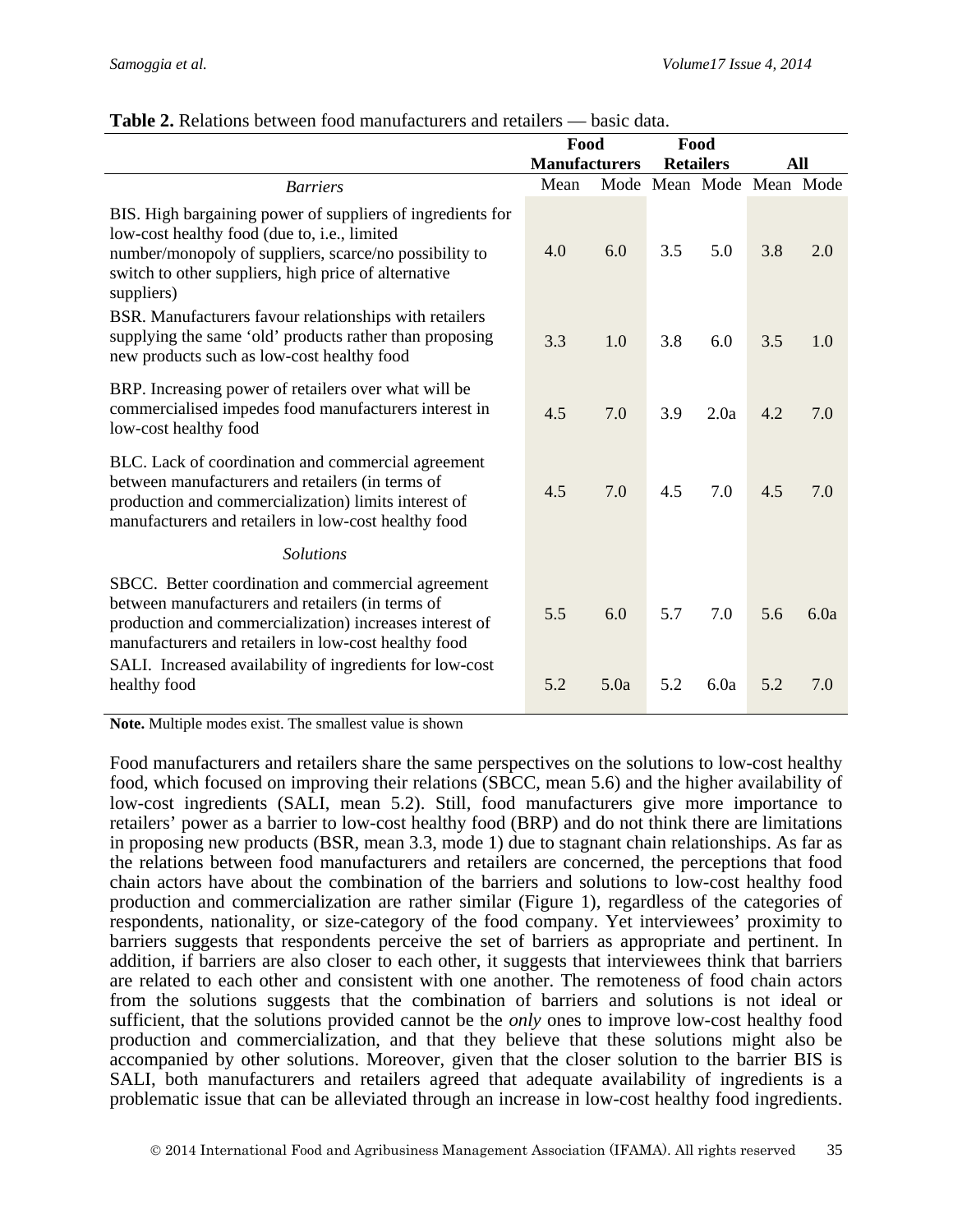|                                                                                                                                                                                                                                                                                       | Food                 |      | Food             |      |                          |      |
|---------------------------------------------------------------------------------------------------------------------------------------------------------------------------------------------------------------------------------------------------------------------------------------|----------------------|------|------------------|------|--------------------------|------|
|                                                                                                                                                                                                                                                                                       | <b>Manufacturers</b> |      | <b>Retailers</b> |      |                          | All  |
| <b>Barriers</b>                                                                                                                                                                                                                                                                       | Mean                 |      |                  |      | Mode Mean Mode Mean Mode |      |
| BIS. High bargaining power of suppliers of ingredients for<br>low-cost healthy food (due to, i.e., limited<br>number/monopoly of suppliers, scarce/no possibility to<br>switch to other suppliers, high price of alternative<br>suppliers)                                            | 4.0                  | 6.0  | 3.5              | 5.0  | 3.8                      | 2.0  |
| BSR. Manufacturers favour relationships with retailers<br>supplying the same 'old' products rather than proposing<br>new products such as low-cost healthy food                                                                                                                       | 3.3                  | 1.0  | 3.8              | 6.0  | 3.5                      | 1.0  |
| BRP. Increasing power of retailers over what will be<br>commercialised impedes food manufacturers interest in<br>low-cost healthy food                                                                                                                                                | 4.5                  | 7.0  | 3.9              | 2.0a | 4.2                      | 7.0  |
| BLC. Lack of coordination and commercial agreement<br>between manufacturers and retailers (in terms of<br>production and commercialization) limits interest of<br>manufacturers and retailers in low-cost healthy food                                                                | 4.5                  | 7.0  | 4.5              | 7.0  | 4.5                      | 7.0  |
| <b>Solutions</b>                                                                                                                                                                                                                                                                      |                      |      |                  |      |                          |      |
| SBCC. Better coordination and commercial agreement<br>between manufacturers and retailers (in terms of<br>production and commercialization) increases interest of<br>manufacturers and retailers in low-cost healthy food<br>SALI. Increased availability of ingredients for low-cost | 5.5                  | 6.0  | 5.7              | 7.0  | 5.6                      | 6.0a |
| healthy food                                                                                                                                                                                                                                                                          | 5.2                  | 5.0a | 5.2              | 6.0a | 5.2                      | 7.0  |

#### **Table 2.** Relations between food manufacturers and retailers — basic data.

**Note.** Multiple modes exist. The smallest value is shown

Food manufacturers and retailers share the same perspectives on the solutions to low-cost healthy food, which focused on improving their relations (SBCC, mean 5.6) and the higher availability of low-cost ingredients (SALI, mean 5.2). Still, food manufacturers give more importance to retailers' power as a barrier to low-cost healthy food (BRP) and do not think there are limitations in proposing new products (BSR, mean 3.3, mode 1) due to stagnant chain relationships. As far as the relations between food manufacturers and retailers are concerned, the perceptions that food chain actors have about the combination of the barriers and solutions to low-cost healthy food production and commercialization are rather similar (Figure 1), regardless of the categories of respondents, nationality, or size-category of the food company. Yet interviewees' proximity to barriers suggests that respondents perceive the set of barriers as appropriate and pertinent. In addition, if barriers are also closer to each other, it suggests that interviewees think that barriers are related to each other and consistent with one another. The remoteness of food chain actors from the solutions suggests that the combination of barriers and solutions is not ideal or sufficient, that the solutions provided cannot be the *only* ones to improve low-cost healthy food production and commercialization, and that they believe that these solutions might also be accompanied by other solutions. Moreover, given that the closer solution to the barrier BIS is SALI, both manufacturers and retailers agreed that adequate availability of ingredients is a problematic issue that can be alleviated through an increase in low-cost healthy food ingredients.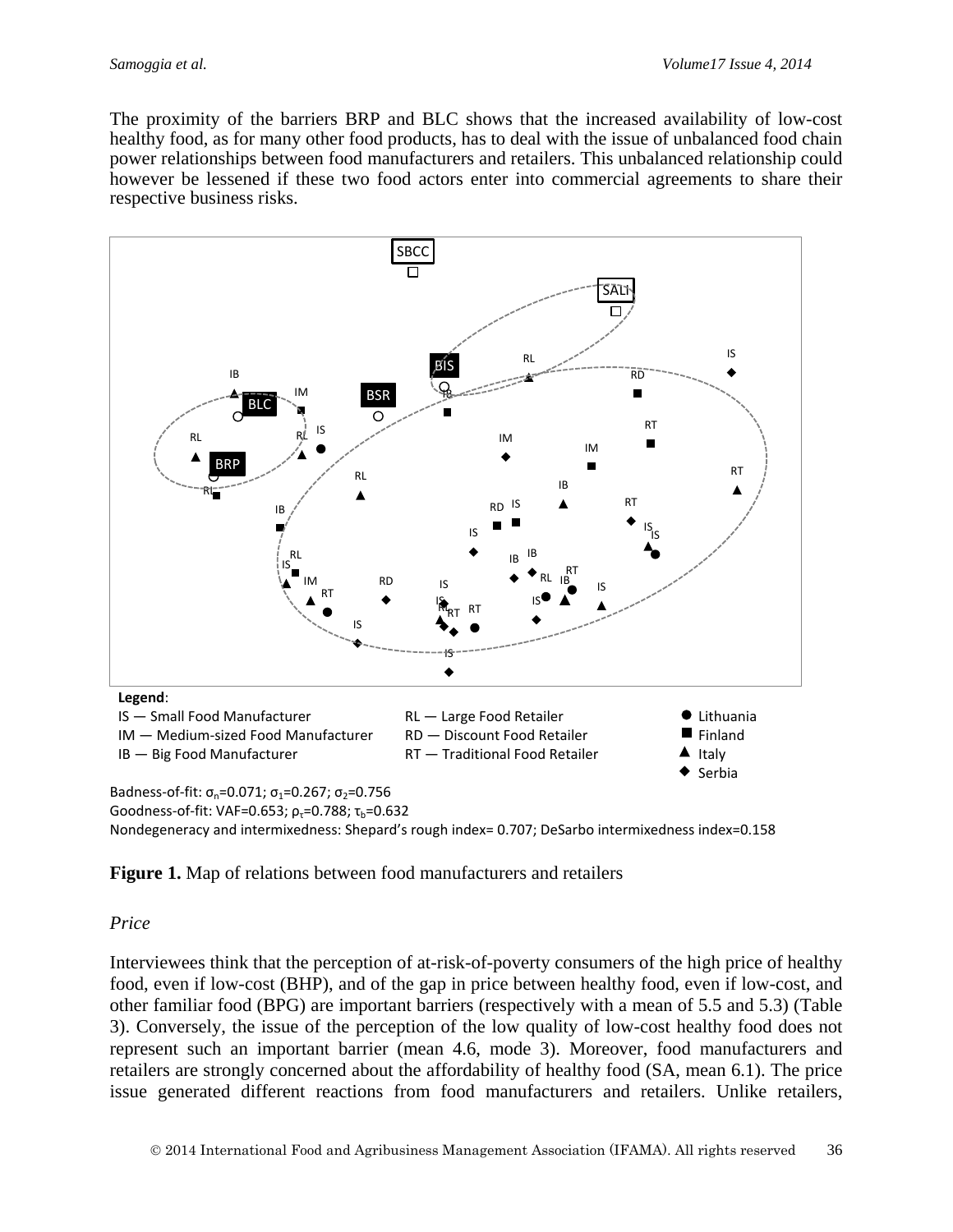The proximity of the barriers BRP and BLC shows that the increased availability of low-cost healthy food, as for many other food products, has to deal with the issue of unbalanced food chain power relationships between food manufacturers and retailers. This unbalanced relationship could however be lessened if these two food actors enter into commercial agreements to share their respective business risks.



Nondegeneracy and intermixedness: Shepard's rough index= 0.707; DeSarbo intermixedness index=0.158

**Figure 1.** Map of relations between food manufacturers and retailers

#### *Price*

Interviewees think that the perception of at-risk-of-poverty consumers of the high price of healthy food, even if low-cost (BHP), and of the gap in price between healthy food, even if low-cost, and other familiar food (BPG) are important barriers (respectively with a mean of 5.5 and 5.3) (Table 3). Conversely, the issue of the perception of the low quality of low-cost healthy food does not represent such an important barrier (mean 4.6, mode 3). Moreover, food manufacturers and retailers are strongly concerned about the affordability of healthy food (SA, mean 6.1). The price issue generated different reactions from food manufacturers and retailers. Unlike retailers,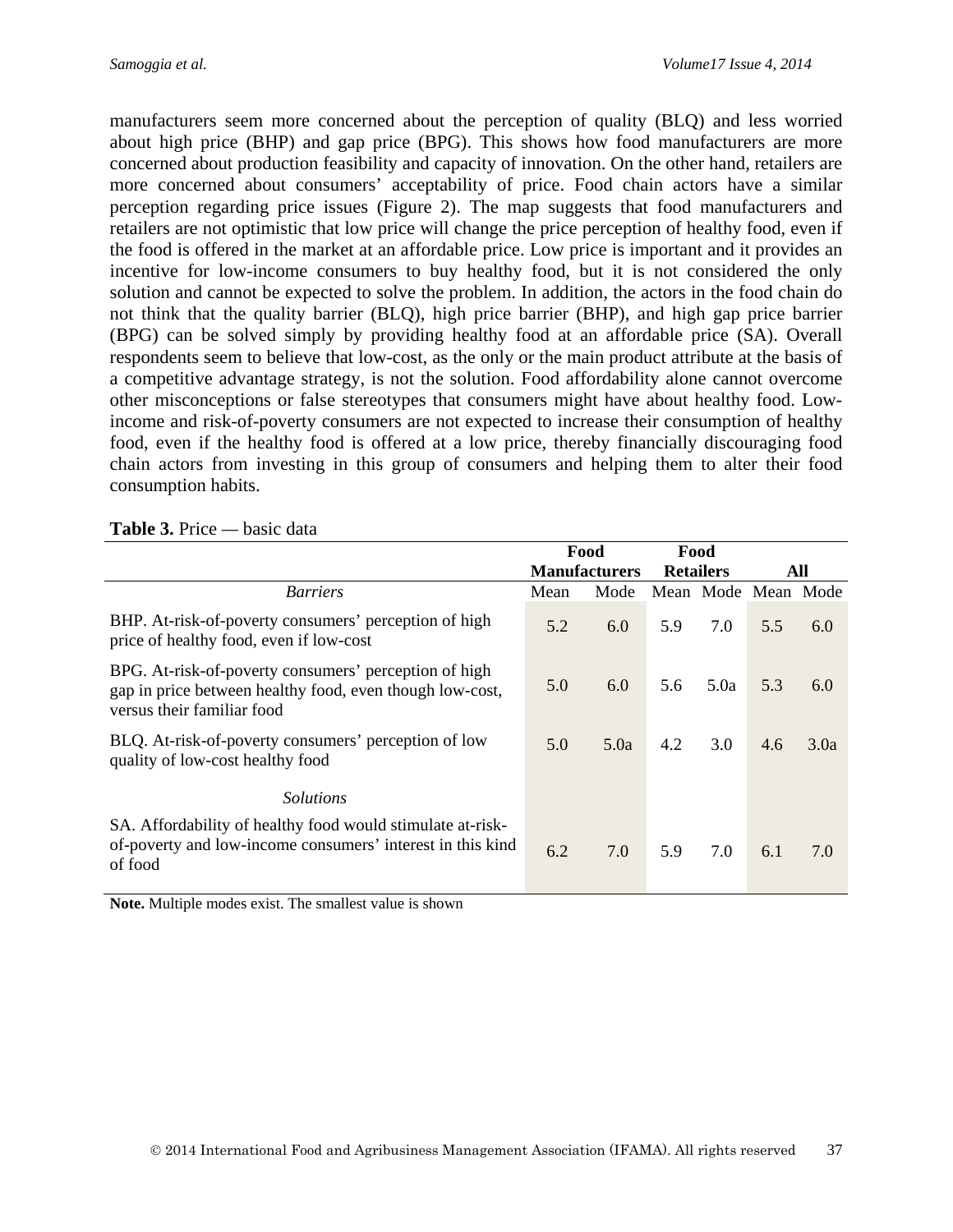manufacturers seem more concerned about the perception of quality (BLQ) and less worried about high price (BHP) and gap price (BPG). This shows how food manufacturers are more concerned about production feasibility and capacity of innovation. On the other hand, retailers are more concerned about consumers' acceptability of price. Food chain actors have a similar perception regarding price issues (Figure 2). The map suggests that food manufacturers and retailers are not optimistic that low price will change the price perception of healthy food, even if the food is offered in the market at an affordable price. Low price is important and it provides an incentive for low-income consumers to buy healthy food, but it is not considered the only solution and cannot be expected to solve the problem. In addition, the actors in the food chain do not think that the quality barrier (BLQ), high price barrier (BHP), and high gap price barrier (BPG) can be solved simply by providing healthy food at an affordable price (SA). Overall respondents seem to believe that low-cost, as the only or the main product attribute at the basis of a competitive advantage strategy, is not the solution. Food affordability alone cannot overcome other misconceptions or false stereotypes that consumers might have about healthy food. Lowincome and risk-of-poverty consumers are not expected to increase their consumption of healthy food, even if the healthy food is offered at a low price, thereby financially discouraging food chain actors from investing in this group of consumers and helping them to alter their food consumption habits.

|                                                                                                                                                 |      | Food                 | Food             |      |                     |      |
|-------------------------------------------------------------------------------------------------------------------------------------------------|------|----------------------|------------------|------|---------------------|------|
|                                                                                                                                                 |      | <b>Manufacturers</b> | <b>Retailers</b> |      |                     | All  |
| <i>Barriers</i>                                                                                                                                 | Mean | Mode                 |                  |      | Mean Mode Mean Mode |      |
| BHP. At-risk-of-poverty consumers' perception of high<br>price of healthy food, even if low-cost                                                | 5.2  | 6.0                  | 5.9              | 7.0  | 5.5                 | 6.0  |
| BPG. At-risk-of-poverty consumers' perception of high<br>gap in price between healthy food, even though low-cost,<br>versus their familiar food | 5.0  | 6.0                  | 5.6              | 5.0a | 5.3                 | 6.0  |
| BLQ. At-risk-of-poverty consumers' perception of low<br>quality of low-cost healthy food                                                        | 5.0  | 5.0a                 | 4.2              | 3.0  | 4.6                 | 3.0a |
| <i>Solutions</i>                                                                                                                                |      |                      |                  |      |                     |      |
| SA. Affordability of healthy food would stimulate at-risk-<br>of-poverty and low-income consumers' interest in this kind<br>of food             | 6.2  | 7.0                  | 5.9              | 7.0  | 6.1                 | 7.0  |

**Table 3.** Price *—* basic data

**Note.** Multiple modes exist. The smallest value is shown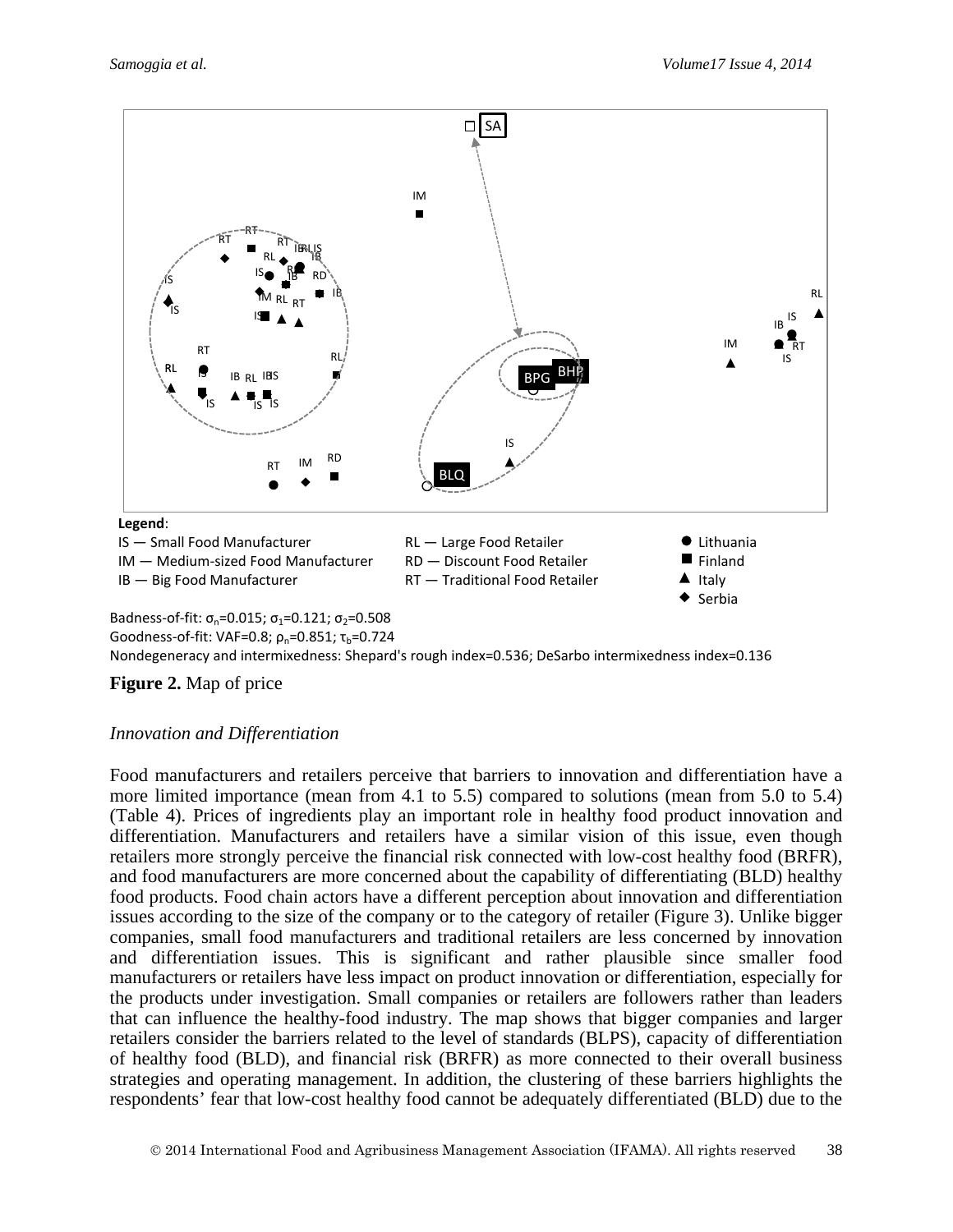

Goodness-of-fit: VAF=0.8;  $\rho_p$ =0.851;  $\tau_b$ =0.724

Nondegeneracy and intermixedness: Shepard's rough index=0.536; DeSarbo intermixedness index=0.136

#### **Figure 2.** Map of price

#### *Innovation and Differentiation*

Food manufacturers and retailers perceive that barriers to innovation and differentiation have a more limited importance (mean from 4.1 to 5.5) compared to solutions (mean from 5.0 to 5.4) (Table 4). Prices of ingredients play an important role in healthy food product innovation and differentiation. Manufacturers and retailers have a similar vision of this issue, even though retailers more strongly perceive the financial risk connected with low-cost healthy food (BRFR), and food manufacturers are more concerned about the capability of differentiating (BLD) healthy food products. Food chain actors have a different perception about innovation and differentiation issues according to the size of the company or to the category of retailer (Figure 3). Unlike bigger companies, small food manufacturers and traditional retailers are less concerned by innovation and differentiation issues. This is significant and rather plausible since smaller food manufacturers or retailers have less impact on product innovation or differentiation, especially for the products under investigation. Small companies or retailers are followers rather than leaders that can influence the healthy-food industry. The map shows that bigger companies and larger retailers consider the barriers related to the level of standards (BLPS), capacity of differentiation of healthy food (BLD), and financial risk (BRFR) as more connected to their overall business strategies and operating management. In addition, the clustering of these barriers highlights the respondents' fear that low-cost healthy food cannot be adequately differentiated (BLD) due to the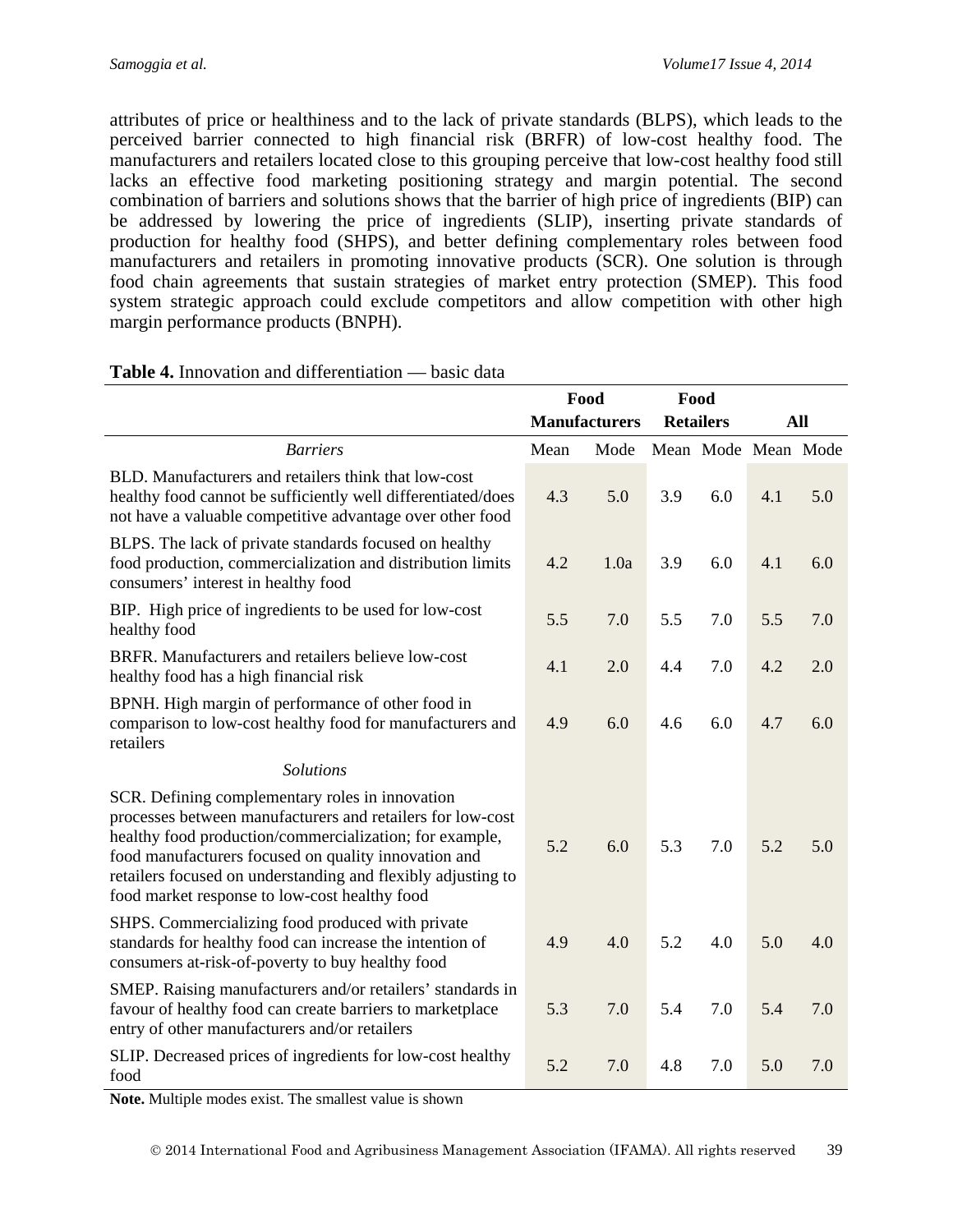attributes of price or healthiness and to the lack of private standards (BLPS), which leads to the perceived barrier connected to high financial risk (BRFR) of low-cost healthy food. The manufacturers and retailers located close to this grouping perceive that low-cost healthy food still lacks an effective food marketing positioning strategy and margin potential. The second combination of barriers and solutions shows that the barrier of high price of ingredients (BIP) can be addressed by lowering the price of ingredients (SLIP), inserting private standards of production for healthy food (SHPS), and better defining complementary roles between food manufacturers and retailers in promoting innovative products (SCR). One solution is through food chain agreements that sustain strategies of market entry protection (SMEP). This food system strategic approach could exclude competitors and allow competition with other high margin performance products (BNPH).

|                                                                                                                                                                                                                                                                                                                                                   |      | Food                 | Food             |                     |     |     |
|---------------------------------------------------------------------------------------------------------------------------------------------------------------------------------------------------------------------------------------------------------------------------------------------------------------------------------------------------|------|----------------------|------------------|---------------------|-----|-----|
|                                                                                                                                                                                                                                                                                                                                                   |      | <b>Manufacturers</b> | <b>Retailers</b> |                     | All |     |
| <b>Barriers</b>                                                                                                                                                                                                                                                                                                                                   | Mean | Mode                 |                  | Mean Mode Mean Mode |     |     |
| BLD. Manufacturers and retailers think that low-cost<br>healthy food cannot be sufficiently well differentiated/does<br>not have a valuable competitive advantage over other food                                                                                                                                                                 | 4.3  | 5.0                  | 3.9              | 6.0                 | 4.1 | 5.0 |
| BLPS. The lack of private standards focused on healthy<br>food production, commercialization and distribution limits<br>consumers' interest in healthy food                                                                                                                                                                                       | 4.2  | 1.0a                 | 3.9              | 6.0                 | 4.1 | 6.0 |
| BIP. High price of ingredients to be used for low-cost<br>healthy food                                                                                                                                                                                                                                                                            | 5.5  | 7.0                  | 5.5              | 7.0                 | 5.5 | 7.0 |
| BRFR. Manufacturers and retailers believe low-cost<br>healthy food has a high financial risk                                                                                                                                                                                                                                                      | 4.1  | 2.0                  | 4.4              | 7.0                 | 4.2 | 2.0 |
| BPNH. High margin of performance of other food in<br>comparison to low-cost healthy food for manufacturers and<br>retailers                                                                                                                                                                                                                       | 4.9  | 6.0                  | 4.6              | 6.0                 | 4.7 | 6.0 |
| <b>Solutions</b>                                                                                                                                                                                                                                                                                                                                  |      |                      |                  |                     |     |     |
| SCR. Defining complementary roles in innovation<br>processes between manufacturers and retailers for low-cost<br>healthy food production/commercialization; for example,<br>food manufacturers focused on quality innovation and<br>retailers focused on understanding and flexibly adjusting to<br>food market response to low-cost healthy food | 5.2  | 6.0                  | 5.3              | 7.0                 | 5.2 | 5.0 |
| SHPS. Commercializing food produced with private<br>standards for healthy food can increase the intention of<br>consumers at-risk-of-poverty to buy healthy food                                                                                                                                                                                  | 4.9  | 4.0                  | 5.2              | 4.0                 | 5.0 | 4.0 |
| SMEP. Raising manufacturers and/or retailers' standards in<br>favour of healthy food can create barriers to marketplace<br>entry of other manufacturers and/or retailers                                                                                                                                                                          | 5.3  | 7.0                  | 5.4              | 7.0                 | 5.4 | 7.0 |
| SLIP. Decreased prices of ingredients for low-cost healthy<br>food                                                                                                                                                                                                                                                                                | 5.2  | 7.0                  | 4.8              | 7.0                 | 5.0 | 7.0 |

#### **Table 4.** Innovation and differentiation — basic data

**Note.** Multiple modes exist. The smallest value is shown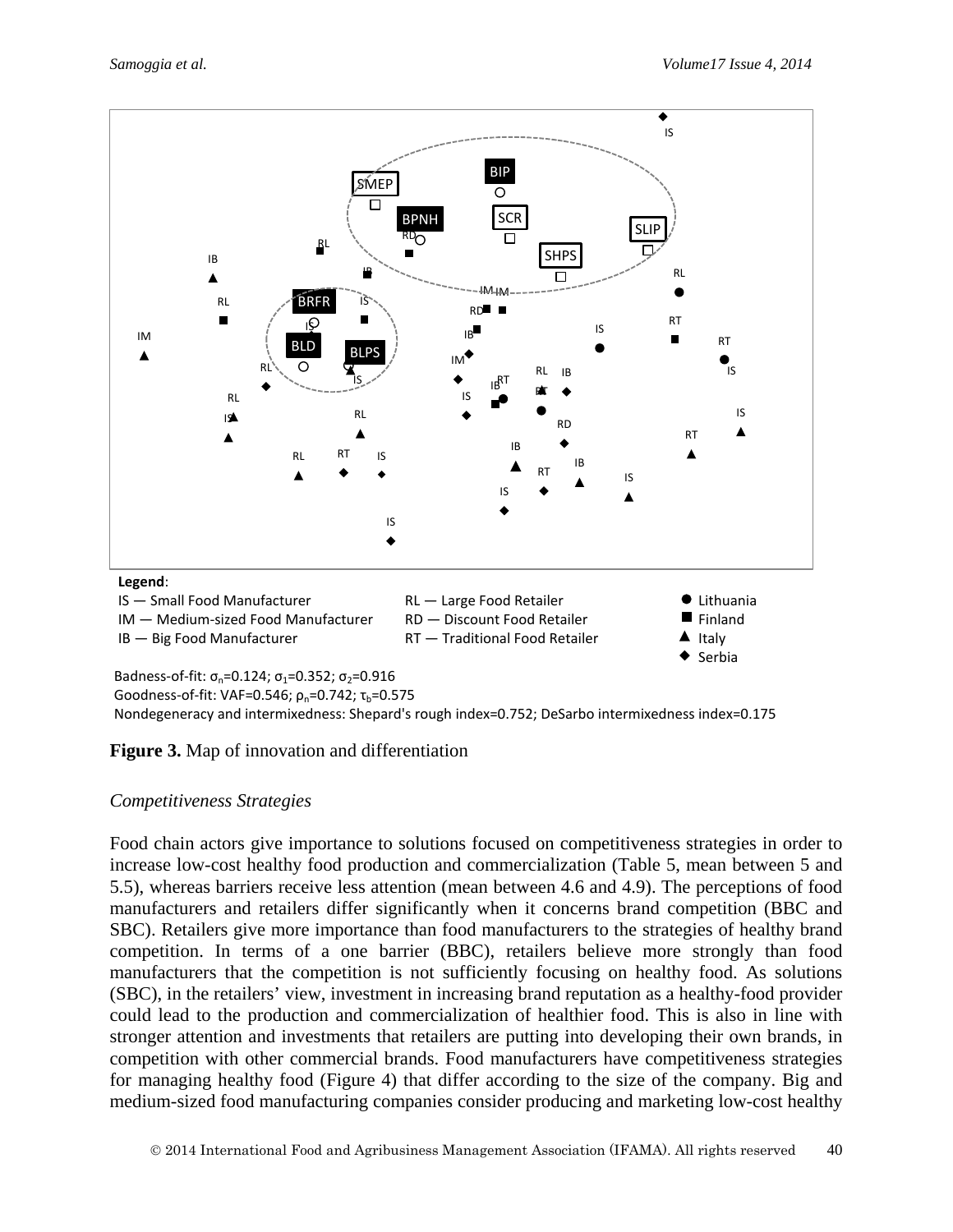

Badness-of-fit:  $\sigma_n = 0.124$ ;  $\sigma_1 = 0.352$ ;  $\sigma_2 = 0.916$ Goodness-of-fit: VAF=0.546;  $ρ_n$ =0.742; τ<sub>b</sub>=0.575 Nondegeneracy and intermixedness: Shepard's rough index=0.752; DeSarbo intermixedness index=0.175

**Figure 3.** Map of innovation and differentiation

#### *Competitiveness Strategies*

Food chain actors give importance to solutions focused on competitiveness strategies in order to increase low-cost healthy food production and commercialization (Table 5, mean between 5 and 5.5), whereas barriers receive less attention (mean between 4.6 and 4.9). The perceptions of food manufacturers and retailers differ significantly when it concerns brand competition (BBC and SBC). Retailers give more importance than food manufacturers to the strategies of healthy brand competition. In terms of a one barrier (BBC), retailers believe more strongly than food manufacturers that the competition is not sufficiently focusing on healthy food. As solutions (SBC), in the retailers' view, investment in increasing brand reputation as a healthy-food provider could lead to the production and commercialization of healthier food. This is also in line with stronger attention and investments that retailers are putting into developing their own brands, in competition with other commercial brands. Food manufacturers have competitiveness strategies for managing healthy food (Figure 4) that differ according to the size of the company. Big and medium-sized food manufacturing companies consider producing and marketing low-cost healthy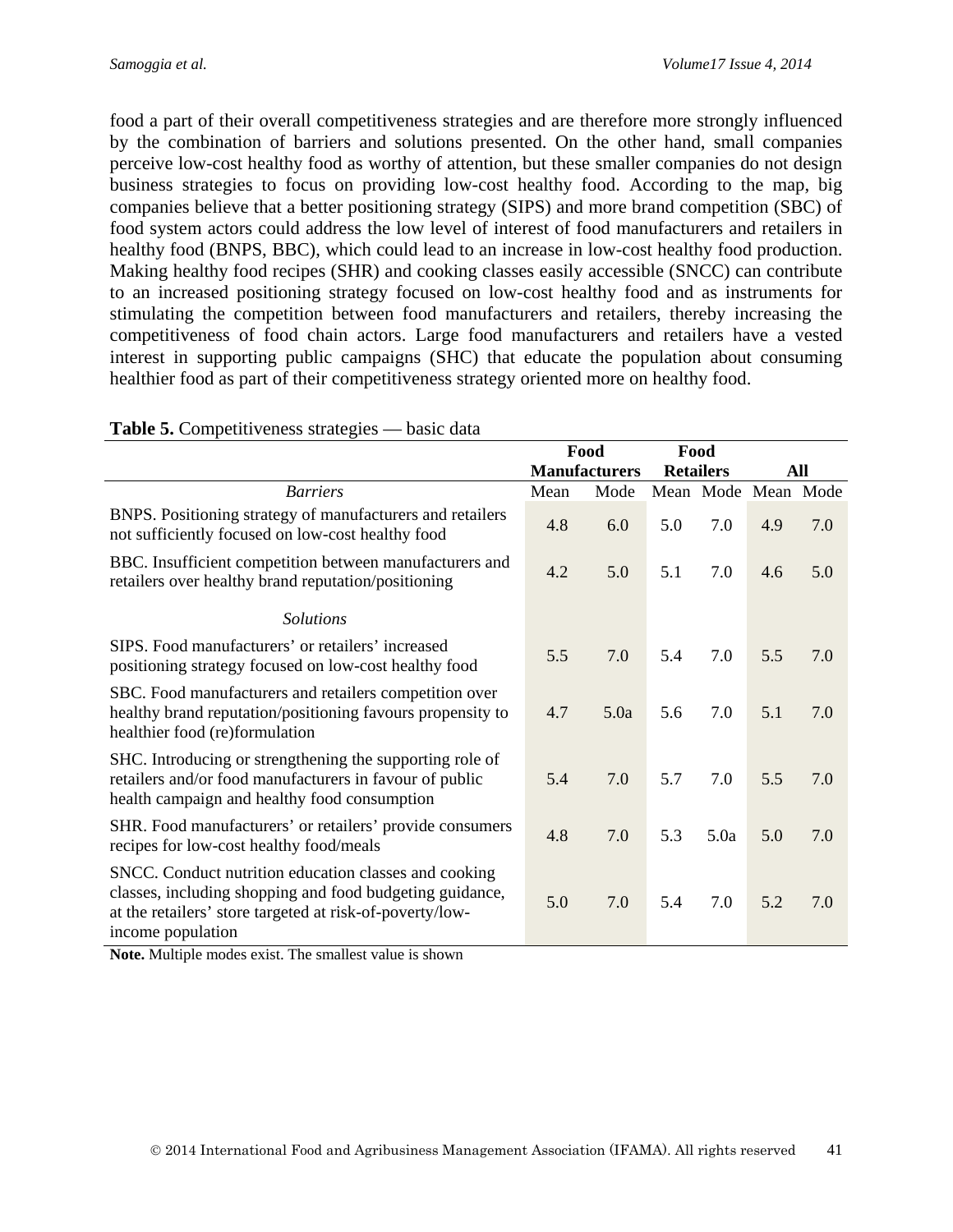food a part of their overall competitiveness strategies and are therefore more strongly influenced by the combination of barriers and solutions presented. On the other hand, small companies perceive low-cost healthy food as worthy of attention, but these smaller companies do not design business strategies to focus on providing low-cost healthy food. According to the map, big companies believe that a better positioning strategy (SIPS) and more brand competition (SBC) of food system actors could address the low level of interest of food manufacturers and retailers in healthy food (BNPS, BBC), which could lead to an increase in low-cost healthy food production. Making healthy food recipes (SHR) and cooking classes easily accessible (SNCC) can contribute to an increased positioning strategy focused on low-cost healthy food and as instruments for stimulating the competition between food manufacturers and retailers, thereby increasing the competitiveness of food chain actors. Large food manufacturers and retailers have a vested interest in supporting public campaigns (SHC) that educate the population about consuming healthier food as part of their competitiveness strategy oriented more on healthy food.

|                                                                                                                                                                                                    |      | Food                 |                  | Food                |     |     |
|----------------------------------------------------------------------------------------------------------------------------------------------------------------------------------------------------|------|----------------------|------------------|---------------------|-----|-----|
|                                                                                                                                                                                                    |      | <b>Manufacturers</b> | <b>Retailers</b> |                     |     | All |
| <b>Barriers</b>                                                                                                                                                                                    | Mean | Mode                 |                  | Mean Mode Mean Mode |     |     |
| BNPS. Positioning strategy of manufacturers and retailers<br>not sufficiently focused on low-cost healthy food                                                                                     | 4.8  | 6.0                  | 5.0              | 7.0                 | 4.9 | 7.0 |
| BBC. Insufficient competition between manufacturers and<br>retailers over healthy brand reputation/positioning                                                                                     | 4.2  | 5.0                  | 5.1              | 7.0                 | 4.6 | 5.0 |
| <b>Solutions</b>                                                                                                                                                                                   |      |                      |                  |                     |     |     |
| SIPS. Food manufacturers' or retailers' increased<br>positioning strategy focused on low-cost healthy food                                                                                         | 5.5  | 7.0                  | 5.4              | 7.0                 | 5.5 | 7.0 |
| SBC. Food manufacturers and retailers competition over<br>healthy brand reputation/positioning favours propensity to<br>healthier food (re)formulation                                             | 4.7  | 5.0a                 | 5.6              | 7.0                 | 5.1 | 7.0 |
| SHC. Introducing or strengthening the supporting role of<br>retailers and/or food manufacturers in favour of public<br>health campaign and healthy food consumption                                | 5.4  | 7.0                  | 5.7              | 7.0                 | 5.5 | 7.0 |
| SHR. Food manufacturers' or retailers' provide consumers<br>recipes for low-cost healthy food/meals                                                                                                | 4.8  | 7.0                  | 5.3              | 5.0a                | 5.0 | 7.0 |
| SNCC. Conduct nutrition education classes and cooking<br>classes, including shopping and food budgeting guidance,<br>at the retailers' store targeted at risk-of-poverty/low-<br>income population | 5.0  | 7.0                  | 5.4              | 7.0                 | 5.2 | 7.0 |

#### **Table 5.** Competitiveness strategies — basic data

**Note.** Multiple modes exist. The smallest value is shown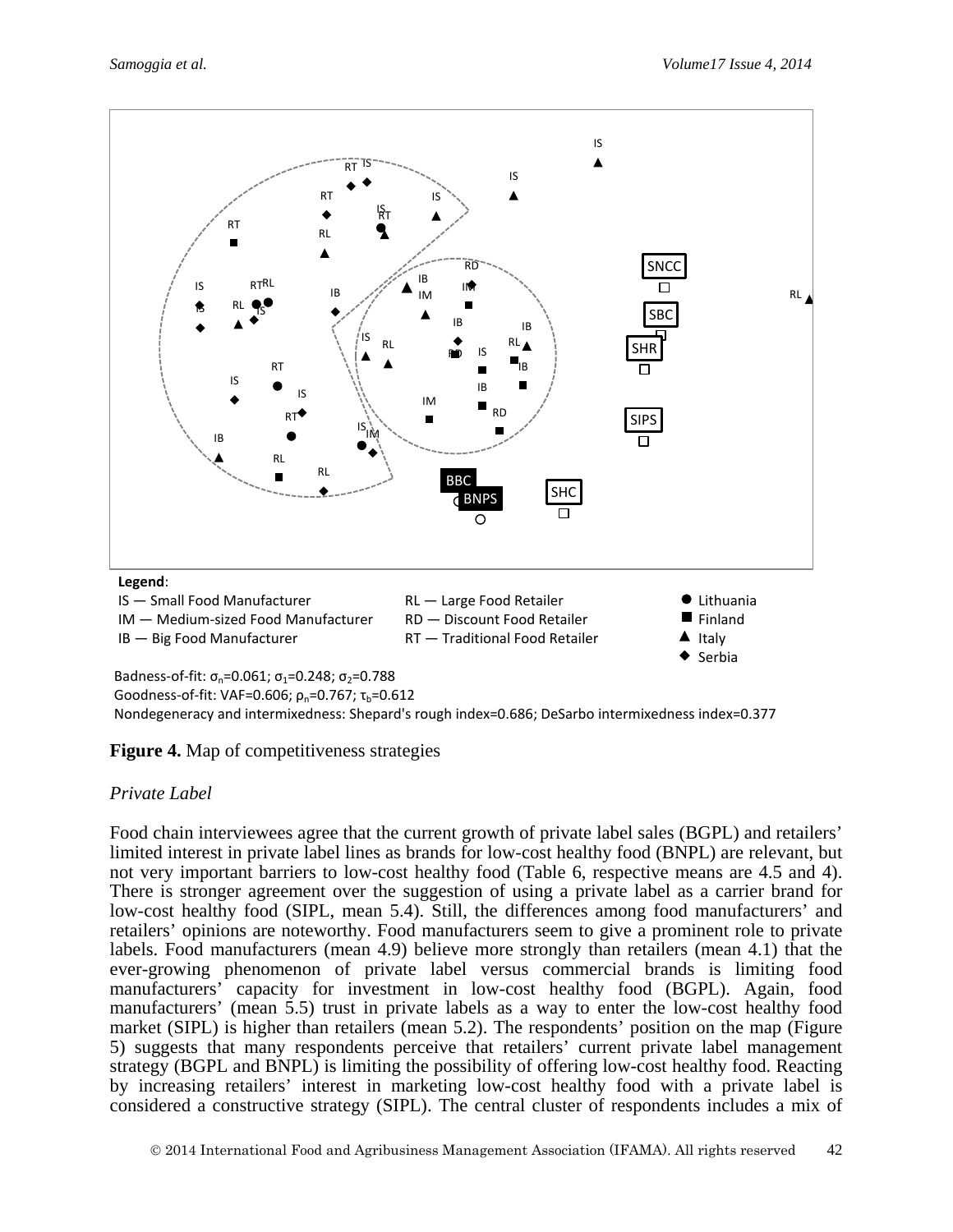

Badness-of-fit:  $\sigma_n = 0.061$ ;  $\sigma_1 = 0.248$ ;  $\sigma_2 = 0.788$ Goodness-of-fit: VAF=0.606;  $\rho_n$ =0.767;  $\tau_h$ =0.612

Nondegeneracy and intermixedness: Shepard's rough index=0.686; DeSarbo intermixedness index=0.377

**Figure 4.** Map of competitiveness strategies

### *Private Label*

Food chain interviewees agree that the current growth of private label sales (BGPL) and retailers' limited interest in private label lines as brands for low-cost healthy food (BNPL) are relevant, but not very important barriers to low-cost healthy food (Table 6, respective means are 4.5 and 4). There is stronger agreement over the suggestion of using a private label as a carrier brand for low-cost healthy food (SIPL, mean 5.4). Still, the differences among food manufacturers' and retailers' opinions are noteworthy. Food manufacturers seem to give a prominent role to private labels. Food manufacturers (mean 4.9) believe more strongly than retailers (mean 4.1) that the ever-growing phenomenon of private label versus commercial brands is limiting food manufacturers' capacity for investment in low-cost healthy food (BGPL). Again, food manufacturers' (mean 5.5) trust in private labels as a way to enter the low-cost healthy food market (SIPL) is higher than retailers (mean 5.2). The respondents' position on the map (Figure 5) suggests that many respondents perceive that retailers' current private label management strategy (BGPL and BNPL) is limiting the possibility of offering low-cost healthy food. Reacting by increasing retailers' interest in marketing low-cost healthy food with a private label is considered a constructive strategy (SIPL). The central cluster of respondents includes a mix of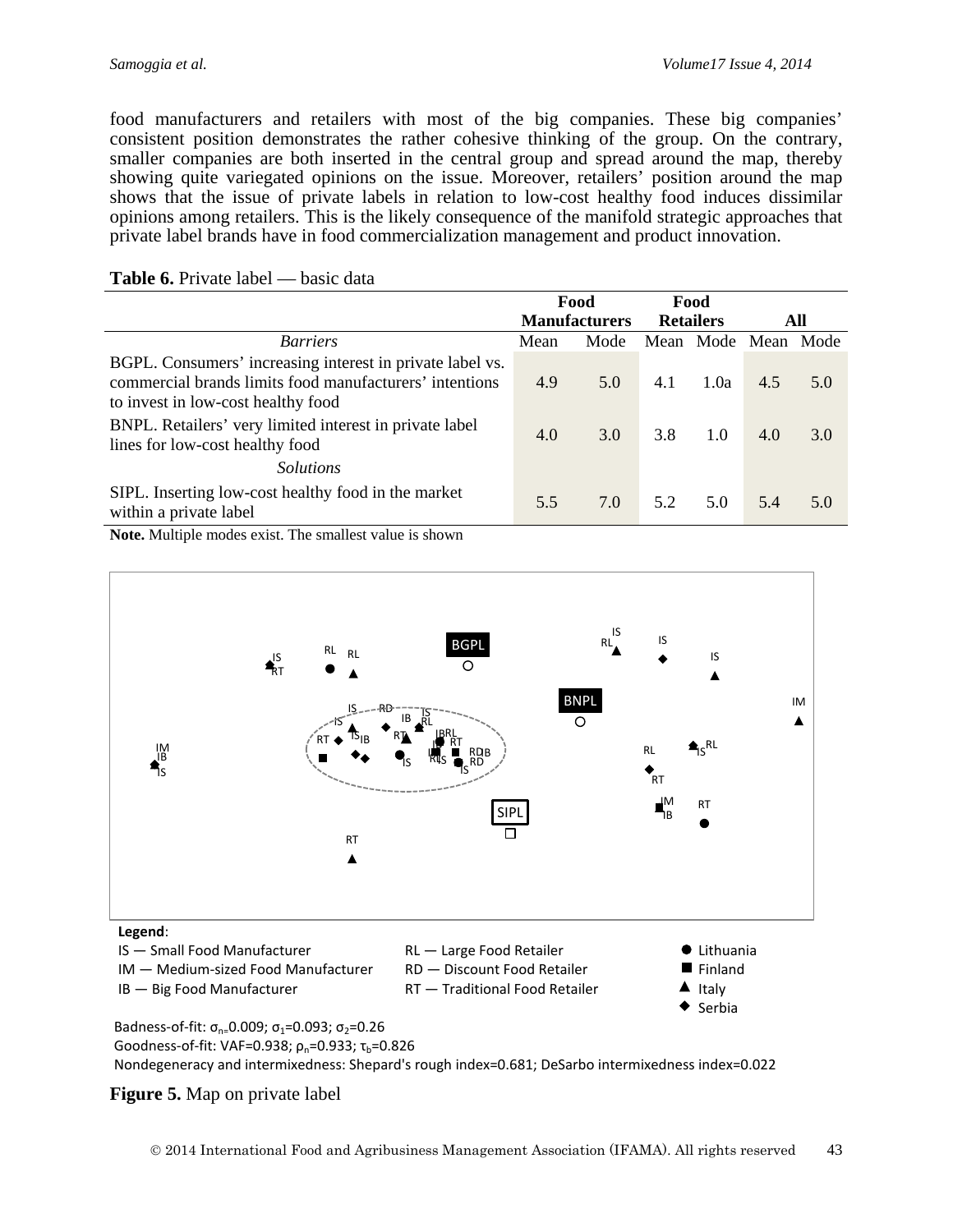food manufacturers and retailers with most of the big companies. These big companies' consistent position demonstrates the rather cohesive thinking of the group. On the contrary, smaller companies are both inserted in the central group and spread around the map, thereby showing quite variegated opinions on the issue. Moreover, retailers' position around the map shows that the issue of private labels in relation to low-cost healthy food induces dissimilar opinions among retailers. This is the likely consequence of the manifold strategic approaches that private label brands have in food commercialization management and product innovation.

|                                                                                                                                                            |      | Food                 |     | Food                |     |     |
|------------------------------------------------------------------------------------------------------------------------------------------------------------|------|----------------------|-----|---------------------|-----|-----|
|                                                                                                                                                            |      | <b>Manufacturers</b> |     | <b>Retailers</b>    |     | All |
| <b>Barriers</b>                                                                                                                                            | Mean | Mode                 |     | Mean Mode Mean Mode |     |     |
| BGPL. Consumers' increasing interest in private label vs.<br>commercial brands limits food manufacturers' intentions<br>to invest in low-cost healthy food | 4.9  | 5.0                  | 4.1 | 1.0a                | 4.5 | 5.0 |
| BNPL. Retailers' very limited interest in private label<br>lines for low-cost healthy food<br><i>Solutions</i>                                             | 4.0  | 3.0                  | 3.8 | 1.0                 | 4.0 | 3.0 |
| SIPL. Inserting low-cost healthy food in the market<br>within a private label                                                                              | 5.5  | 7.0                  | 52  | 5.0                 | 5.4 | 5.0 |

#### **Table 6.** Private label — basic data

**Note.** Multiple modes exist. The smallest value is shown



IM — Medium-sized Food Manufacturer

IB — Big Food Manufacturer

- RD Discount Food Retailer
- RT Traditional Food Retailer
- Finland Italy
- Serbia

Badness-of-fit:  $\sigma_{n=}0.009$ ;  $\sigma_1$ =0.093;  $\sigma_2$ =0.26 Goodness-of-fit: VAF=0.938;  $\rho_n$ =0.933;  $\tau_b$ =0.826 Nondegeneracy and intermixedness: Shepard's rough index=0.681; DeSarbo intermixedness index=0.022

#### **Figure 5.** Map on private label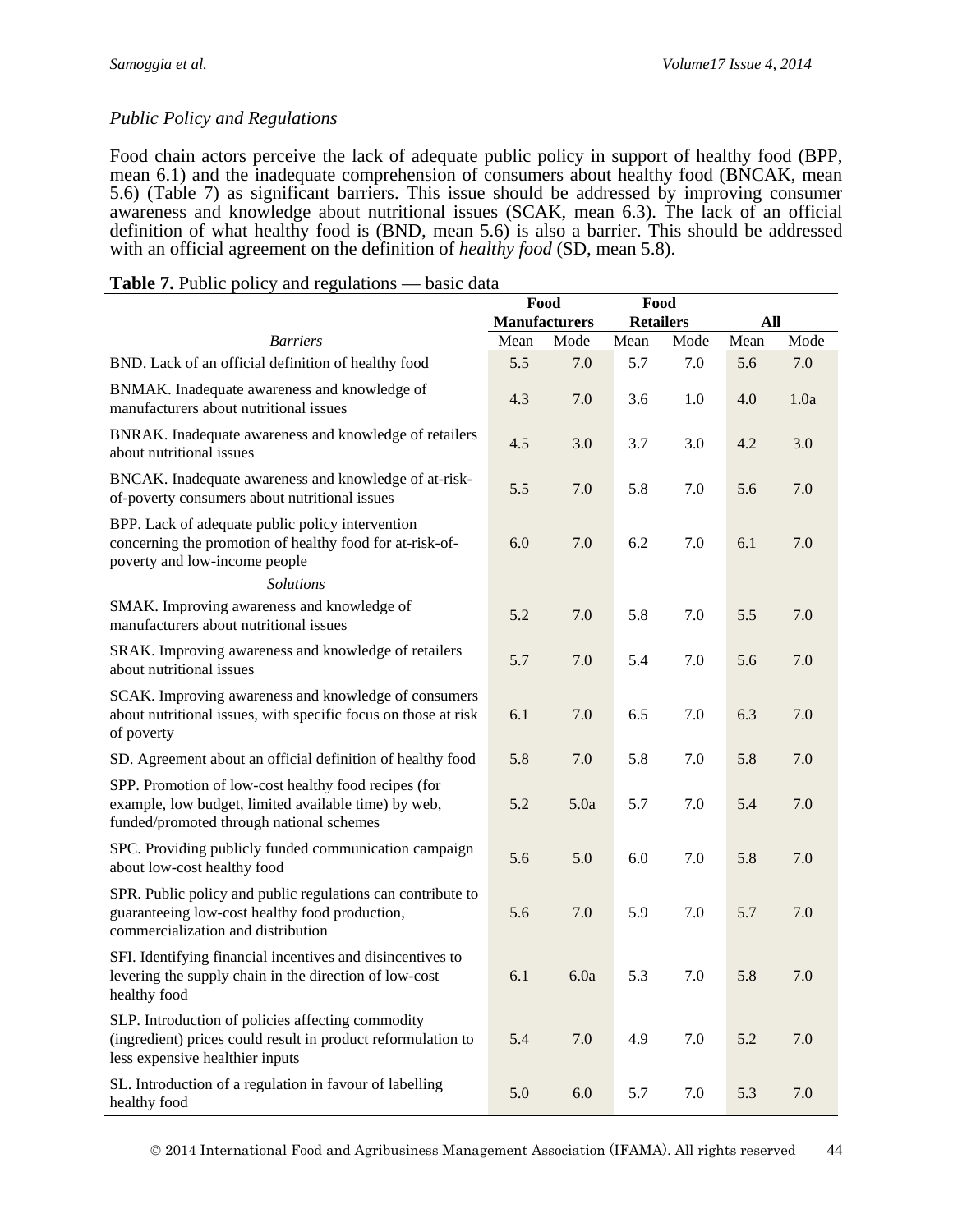#### *Public Policy and Regulations*

Food chain actors perceive the lack of adequate public policy in support of healthy food (BPP, mean 6.1) and the inadequate comprehension of consumers about healthy food (BNCAK, mean 5.6) (Table 7) as significant barriers. This issue should be addressed by improving consumer awareness and knowledge about nutritional issues (SCAK, mean 6.3). The lack of an official definition of what healthy food is (BND, mean 5.6) is also a barrier. This should be addressed with an official agreement on the definition of *healthy food* (SD, mean 5.8).

|                                                                                                                                                          |      | Food                 | Food             |      |      |      |
|----------------------------------------------------------------------------------------------------------------------------------------------------------|------|----------------------|------------------|------|------|------|
|                                                                                                                                                          |      | <b>Manufacturers</b> | <b>Retailers</b> |      | All  |      |
| <b>Barriers</b>                                                                                                                                          | Mean | Mode                 | Mean             | Mode | Mean | Mode |
| BND. Lack of an official definition of healthy food                                                                                                      | 5.5  | 7.0                  | 5.7              | 7.0  | 5.6  | 7.0  |
| BNMAK. Inadequate awareness and knowledge of<br>manufacturers about nutritional issues                                                                   | 4.3  | 7.0                  | 3.6              | 1.0  | 4.0  | 1.0a |
| BNRAK. Inadequate awareness and knowledge of retailers<br>about nutritional issues                                                                       | 4.5  | 3.0                  | 3.7              | 3.0  | 4.2  | 3.0  |
| BNCAK. Inadequate awareness and knowledge of at-risk-<br>of-poverty consumers about nutritional issues                                                   | 5.5  | 7.0                  | 5.8              | 7.0  | 5.6  | 7.0  |
| BPP. Lack of adequate public policy intervention<br>concerning the promotion of healthy food for at-risk-of-<br>poverty and low-income people            | 6.0  | 7.0                  | 6.2              | 7.0  | 6.1  | 7.0  |
| <b>Solutions</b>                                                                                                                                         |      |                      |                  |      |      |      |
| SMAK. Improving awareness and knowledge of<br>manufacturers about nutritional issues                                                                     | 5.2  | 7.0                  | 5.8              | 7.0  | 5.5  | 7.0  |
| SRAK. Improving awareness and knowledge of retailers<br>about nutritional issues                                                                         | 5.7  | 7.0                  | 5.4              | 7.0  | 5.6  | 7.0  |
| SCAK. Improving awareness and knowledge of consumers<br>about nutritional issues, with specific focus on those at risk<br>of poverty                     | 6.1  | 7.0                  | 6.5              | 7.0  | 6.3  | 7.0  |
| SD. Agreement about an official definition of healthy food                                                                                               | 5.8  | 7.0                  | 5.8              | 7.0  | 5.8  | 7.0  |
| SPP. Promotion of low-cost healthy food recipes (for<br>example, low budget, limited available time) by web,<br>funded/promoted through national schemes | 5.2  | 5.0a                 | 5.7              | 7.0  | 5.4  | 7.0  |
| SPC. Providing publicly funded communication campaign<br>about low-cost healthy food                                                                     | 5.6  | 5.0                  | 6.0              | 7.0  | 5.8  | 7.0  |
| SPR. Public policy and public regulations can contribute to<br>guaranteeing low-cost healthy food production,<br>commercialization and distribution      | 5.6  | 7.0                  | 5.9              | 7.0  | 5.7  | 7.0  |
| SFI. Identifying financial incentives and disincentives to<br>levering the supply chain in the direction of low-cost<br>healthy food                     | 6.1  | 6.0a                 | 5.3              | 7.0  | 5.8  | 7.0  |
| SLP. Introduction of policies affecting commodity<br>(ingredient) prices could result in product reformulation to<br>less expensive healthier inputs     | 5.4  | 7.0                  | 4.9              | 7.0  | 5.2  | 7.0  |
| SL. Introduction of a regulation in favour of labelling<br>healthy food                                                                                  | 5.0  | 6.0                  | 5.7              | 7.0  | 5.3  | 7.0  |

#### **Table 7.** Public policy and regulations — basic data

2014 International Food and Agribusiness Management Association (IFAMA). All rights reserved 44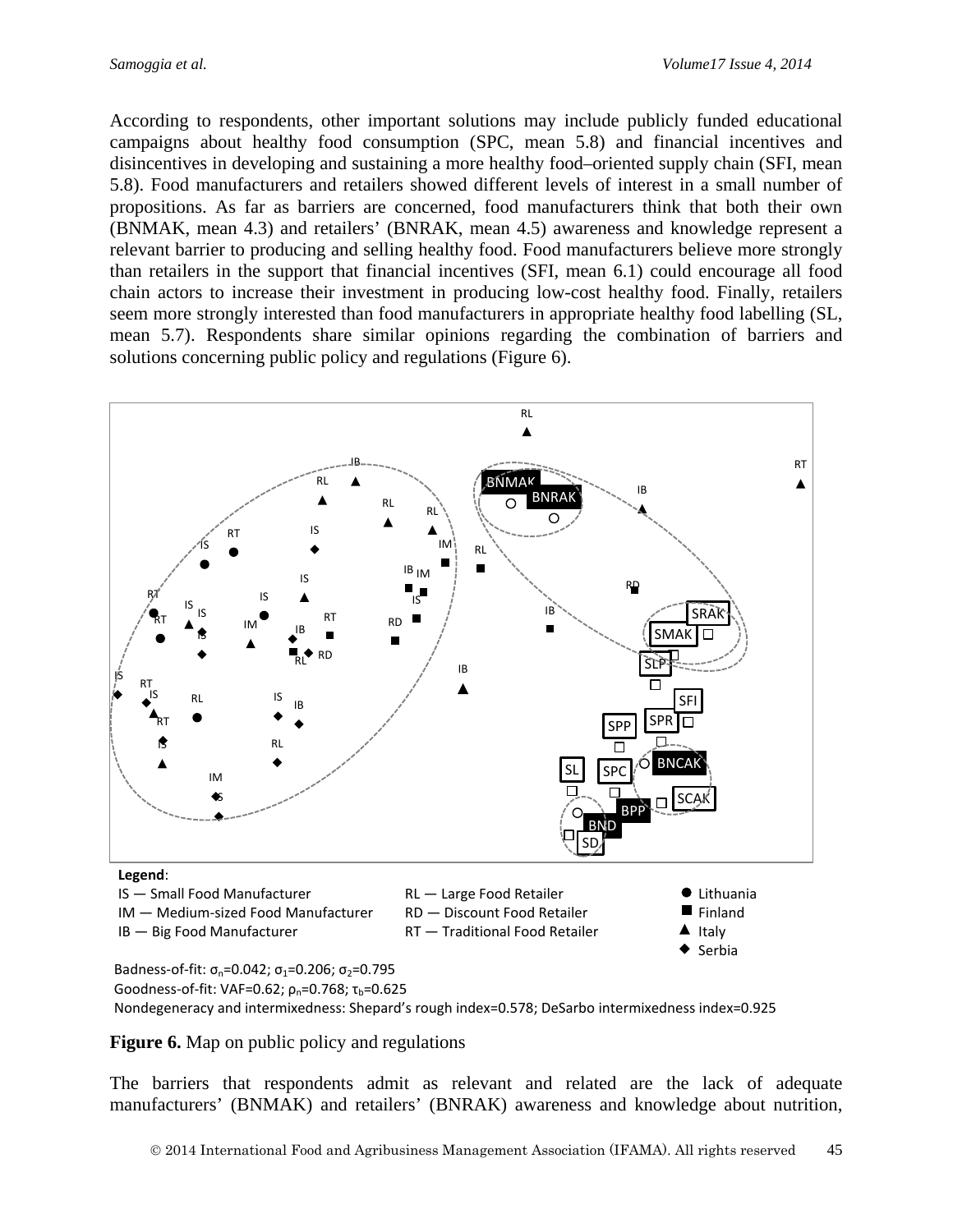According to respondents, other important solutions may include publicly funded educational campaigns about healthy food consumption (SPC, mean 5.8) and financial incentives and disincentives in developing and sustaining a more healthy food–oriented supply chain (SFI, mean 5.8). Food manufacturers and retailers showed different levels of interest in a small number of propositions. As far as barriers are concerned, food manufacturers think that both their own (BNMAK, mean 4.3) and retailers' (BNRAK, mean 4.5) awareness and knowledge represent a relevant barrier to producing and selling healthy food. Food manufacturers believe more strongly than retailers in the support that financial incentives (SFI, mean 6.1) could encourage all food chain actors to increase their investment in producing low-cost healthy food. Finally, retailers seem more strongly interested than food manufacturers in appropriate healthy food labelling (SL, mean 5.7). Respondents share similar opinions regarding the combination of barriers and solutions concerning public policy and regulations (Figure 6).



Nondegeneracy and intermixedness: Shepard's rough index=0.578; DeSarbo intermixedness index=0.925

**Figure 6.** Map on public policy and regulations

The barriers that respondents admit as relevant and related are the lack of adequate manufacturers' (BNMAK) and retailers' (BNRAK) awareness and knowledge about nutrition,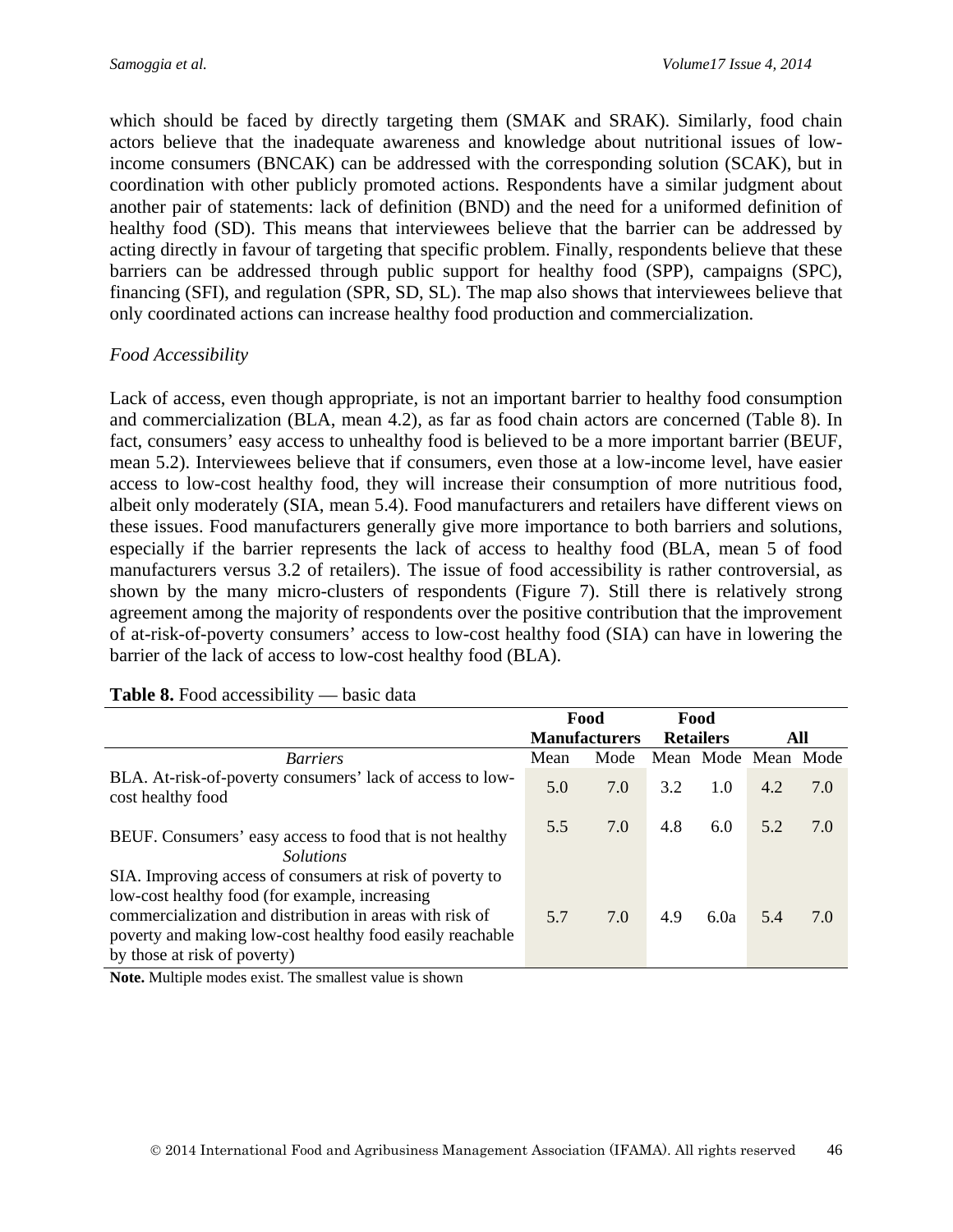which should be faced by directly targeting them (SMAK and SRAK). Similarly, food chain actors believe that the inadequate awareness and knowledge about nutritional issues of lowincome consumers (BNCAK) can be addressed with the corresponding solution (SCAK), but in coordination with other publicly promoted actions. Respondents have a similar judgment about another pair of statements: lack of definition (BND) and the need for a uniformed definition of healthy food (SD). This means that interviewees believe that the barrier can be addressed by acting directly in favour of targeting that specific problem. Finally, respondents believe that these barriers can be addressed through public support for healthy food (SPP), campaigns (SPC), financing (SFI), and regulation (SPR, SD, SL). The map also shows that interviewees believe that only coordinated actions can increase healthy food production and commercialization.

### *Food Accessibility*

Lack of access, even though appropriate, is not an important barrier to healthy food consumption and commercialization (BLA, mean 4.2), as far as food chain actors are concerned (Table 8). In fact, consumers' easy access to unhealthy food is believed to be a more important barrier (BEUF, mean 5.2). Interviewees believe that if consumers, even those at a low-income level, have easier access to low-cost healthy food, they will increase their consumption of more nutritious food, albeit only moderately (SIA, mean 5.4). Food manufacturers and retailers have different views on these issues. Food manufacturers generally give more importance to both barriers and solutions, especially if the barrier represents the lack of access to healthy food (BLA, mean 5 of food manufacturers versus 3.2 of retailers). The issue of food accessibility is rather controversial, as shown by the many micro-clusters of respondents (Figure 7). Still there is relatively strong agreement among the majority of respondents over the positive contribution that the improvement of at-risk-of-poverty consumers' access to low-cost healthy food (SIA) can have in lowering the barrier of the lack of access to low-cost healthy food (BLA).

|                                                                                                                                                                                                         |      | Food                 | Food             |      |                     |     |
|---------------------------------------------------------------------------------------------------------------------------------------------------------------------------------------------------------|------|----------------------|------------------|------|---------------------|-----|
|                                                                                                                                                                                                         |      | <b>Manufacturers</b> | <b>Retailers</b> |      | All                 |     |
| <b>Barriers</b>                                                                                                                                                                                         | Mean | Mode                 |                  |      | Mean Mode Mean Mode |     |
| BLA. At-risk-of-poverty consumers' lack of access to low-<br>cost healthy food                                                                                                                          | 5.0  | 7.0                  | 3.2              | 1.0  | 4.2                 | 7.0 |
| BEUF. Consumers' easy access to food that is not healthy<br><i>Solutions</i>                                                                                                                            | 5.5  | 7.0                  | 4.8              | 6.0  | 5.2                 | 7.0 |
| SIA. Improving access of consumers at risk of poverty to                                                                                                                                                |      |                      |                  |      |                     |     |
| low-cost healthy food (for example, increasing<br>commercialization and distribution in areas with risk of<br>poverty and making low-cost healthy food easily reachable<br>by those at risk of poverty) | 5.7  | 7.0                  | 4.9              | 6.0a | 5.4                 | 7.0 |

#### **Table 8.** Food accessibility — basic data

**Note.** Multiple modes exist. The smallest value is shown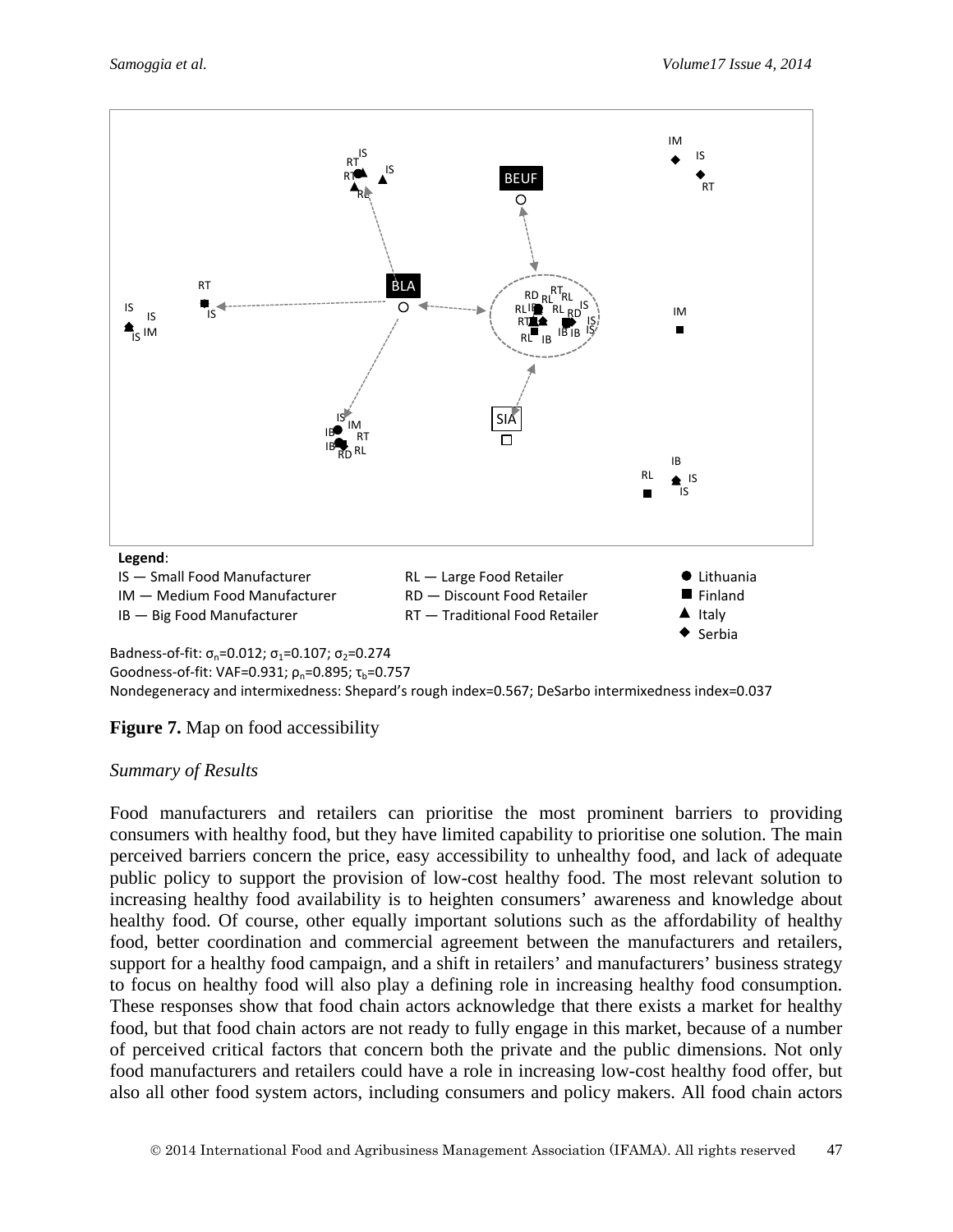

Badness-of-fit:  $\sigma_n = 0.012$ ;  $\sigma_1 = 0.107$ ;  $\sigma_2 = 0.274$ 

Goodness-of-fit: VAF=0.931;  $\rho_n$ =0.895;  $\tau_b$ =0.757

Nondegeneracy and intermixedness: Shepard's rough index=0.567; DeSarbo intermixedness index=0.037

#### **Figure 7.** Map on food accessibility

#### *Summary of Results*

Food manufacturers and retailers can prioritise the most prominent barriers to providing consumers with healthy food, but they have limited capability to prioritise one solution. The main perceived barriers concern the price, easy accessibility to unhealthy food, and lack of adequate public policy to support the provision of low-cost healthy food. The most relevant solution to increasing healthy food availability is to heighten consumers' awareness and knowledge about healthy food. Of course, other equally important solutions such as the affordability of healthy food, better coordination and commercial agreement between the manufacturers and retailers, support for a healthy food campaign, and a shift in retailers' and manufacturers' business strategy to focus on healthy food will also play a defining role in increasing healthy food consumption. These responses show that food chain actors acknowledge that there exists a market for healthy food, but that food chain actors are not ready to fully engage in this market, because of a number of perceived critical factors that concern both the private and the public dimensions. Not only food manufacturers and retailers could have a role in increasing low-cost healthy food offer, but also all other food system actors, including consumers and policy makers. All food chain actors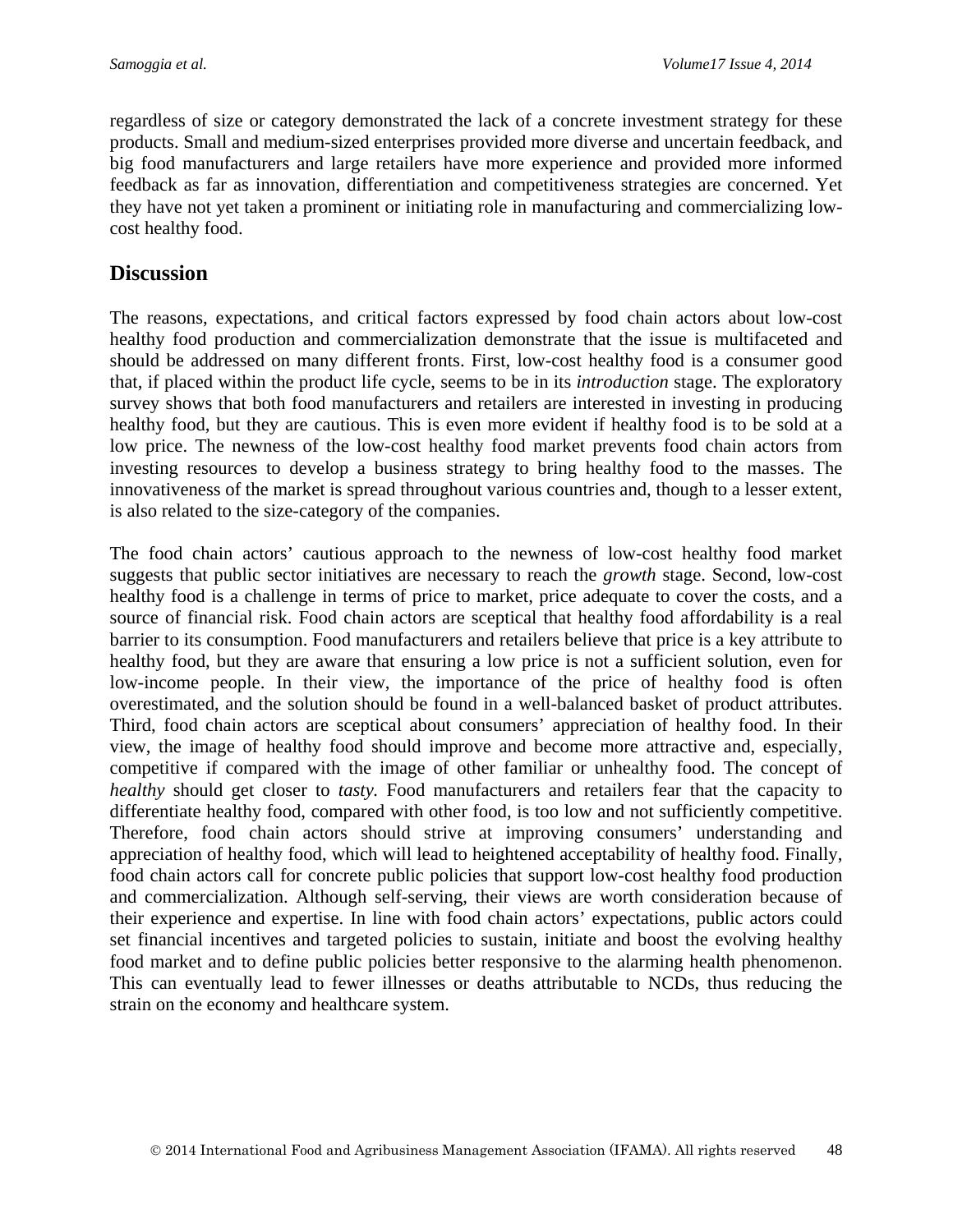regardless of size or category demonstrated the lack of a concrete investment strategy for these products. Small and medium-sized enterprises provided more diverse and uncertain feedback, and big food manufacturers and large retailers have more experience and provided more informed feedback as far as innovation, differentiation and competitiveness strategies are concerned. Yet they have not yet taken a prominent or initiating role in manufacturing and commercializing lowcost healthy food.

## **Discussion**

The reasons, expectations, and critical factors expressed by food chain actors about low-cost healthy food production and commercialization demonstrate that the issue is multifaceted and should be addressed on many different fronts. First, low-cost healthy food is a consumer good that, if placed within the product life cycle, seems to be in its *introduction* stage. The exploratory survey shows that both food manufacturers and retailers are interested in investing in producing healthy food, but they are cautious. This is even more evident if healthy food is to be sold at a low price. The newness of the low-cost healthy food market prevents food chain actors from investing resources to develop a business strategy to bring healthy food to the masses. The innovativeness of the market is spread throughout various countries and, though to a lesser extent, is also related to the size-category of the companies.

The food chain actors' cautious approach to the newness of low-cost healthy food market suggests that public sector initiatives are necessary to reach the *growth* stage. Second, low-cost healthy food is a challenge in terms of price to market, price adequate to cover the costs, and a source of financial risk. Food chain actors are sceptical that healthy food affordability is a real barrier to its consumption. Food manufacturers and retailers believe that price is a key attribute to healthy food, but they are aware that ensuring a low price is not a sufficient solution, even for low-income people. In their view, the importance of the price of healthy food is often overestimated, and the solution should be found in a well-balanced basket of product attributes. Third, food chain actors are sceptical about consumers' appreciation of healthy food. In their view, the image of healthy food should improve and become more attractive and, especially, competitive if compared with the image of other familiar or unhealthy food. The concept of *healthy* should get closer to *tasty.* Food manufacturers and retailers fear that the capacity to differentiate healthy food, compared with other food, is too low and not sufficiently competitive. Therefore, food chain actors should strive at improving consumers' understanding and appreciation of healthy food, which will lead to heightened acceptability of healthy food. Finally, food chain actors call for concrete public policies that support low-cost healthy food production and commercialization. Although self-serving, their views are worth consideration because of their experience and expertise. In line with food chain actors' expectations, public actors could set financial incentives and targeted policies to sustain, initiate and boost the evolving healthy food market and to define public policies better responsive to the alarming health phenomenon. This can eventually lead to fewer illnesses or deaths attributable to NCDs, thus reducing the strain on the economy and healthcare system.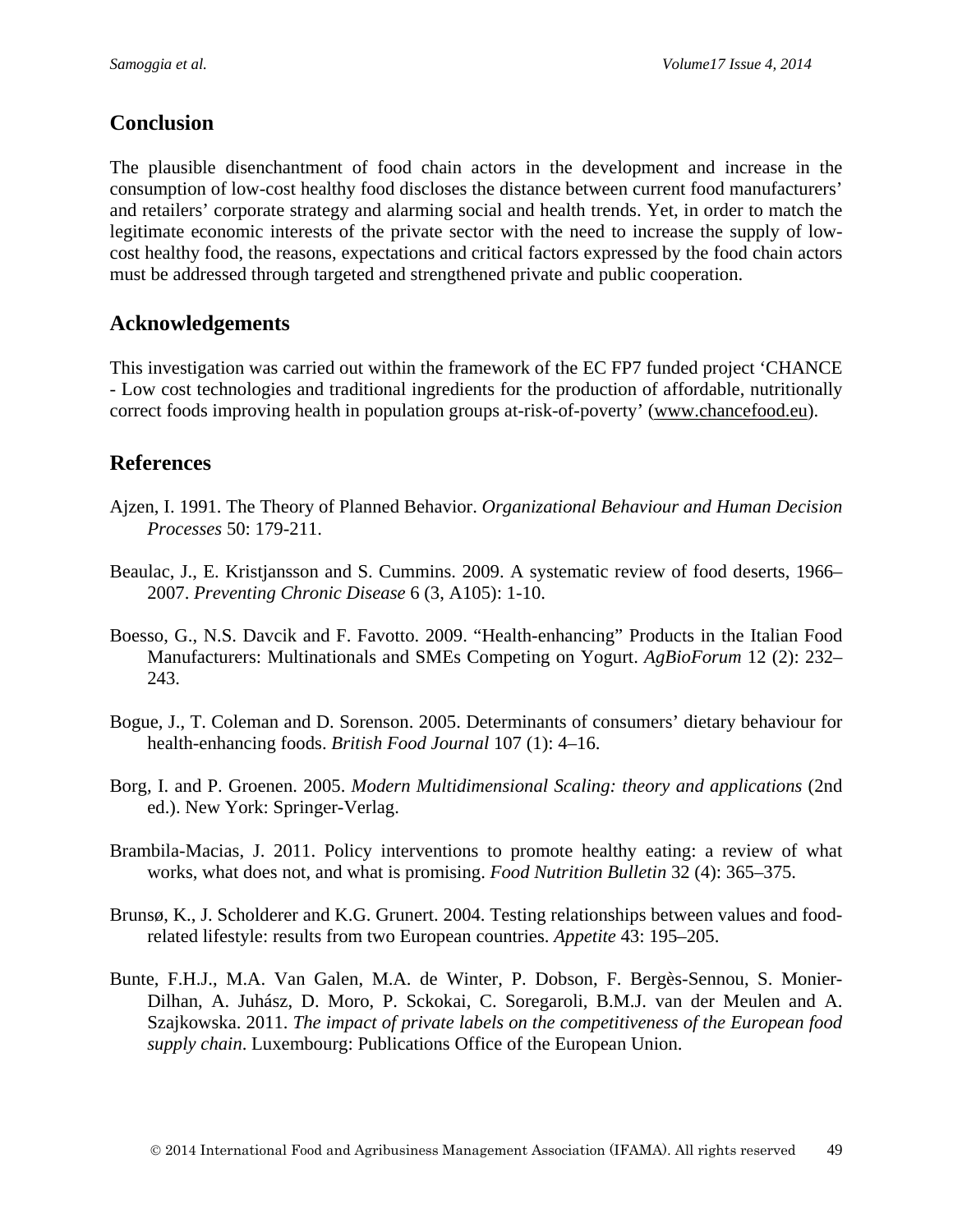## **Conclusion**

The plausible disenchantment of food chain actors in the development and increase in the consumption of low-cost healthy food discloses the distance between current food manufacturers' and retailers' corporate strategy and alarming social and health trends. Yet, in order to match the legitimate economic interests of the private sector with the need to increase the supply of lowcost healthy food, the reasons, expectations and critical factors expressed by the food chain actors must be addressed through targeted and strengthened private and public cooperation.

## **Acknowledgements**

This investigation was carried out within the framework of the EC FP7 funded project 'CHANCE - Low cost technologies and traditional ingredients for the production of affordable, nutritionally correct foods improving health in population groups at-risk-of-poverty' [\(www.chancefood.eu\)](http://www.chancefood.eu/).

## **References**

- Ajzen, I. 1991. The Theory of Planned Behavior. *Organizational Behaviour and Human Decision Processes* 50: 179-211.
- Beaulac, J., E. Kristjansson and S. Cummins. 2009. A systematic review of food deserts, 1966– 2007. *Preventing Chronic Disease* 6 (3, A105): 1-10.
- Boesso, G., N.S. Davcik and F. Favotto. 2009. "Health-enhancing" Products in the Italian Food Manufacturers: Multinationals and SMEs Competing on Yogurt. *AgBioForum* 12 (2): 232– 243.
- Bogue, J., T. Coleman and D. Sorenson. 2005. Determinants of consumers' dietary behaviour for health-enhancing foods. *British Food Journal* 107 (1): 4–16.
- Borg, I. and P. Groenen. 2005. *Modern Multidimensional Scaling: theory and applications* (2nd ed.). New York: Springer-Verlag.
- Brambila-Macias, J. 2011. Policy interventions to promote healthy eating: a review of what works, what does not, and what is promising. *Food Nutrition Bulletin* 32 (4): 365–375.
- Brunsø, K., J. Scholderer and K.G. Grunert. 2004. Testing relationships between values and foodrelated lifestyle: results from two European countries. *Appetite* 43: 195–205.
- Bunte, F.H.J., M.A. Van Galen, M.A. de Winter, P. Dobson, F. Bergès-Sennou, S. Monier-Dilhan, A. Juhász, D. Moro, P. Sckokai, C. Soregaroli, B.M.J. van der Meulen and A. Szajkowska. 2011. *The impact of private labels on the competitiveness of the European food supply chain*. Luxembourg: Publications Office of the European Union.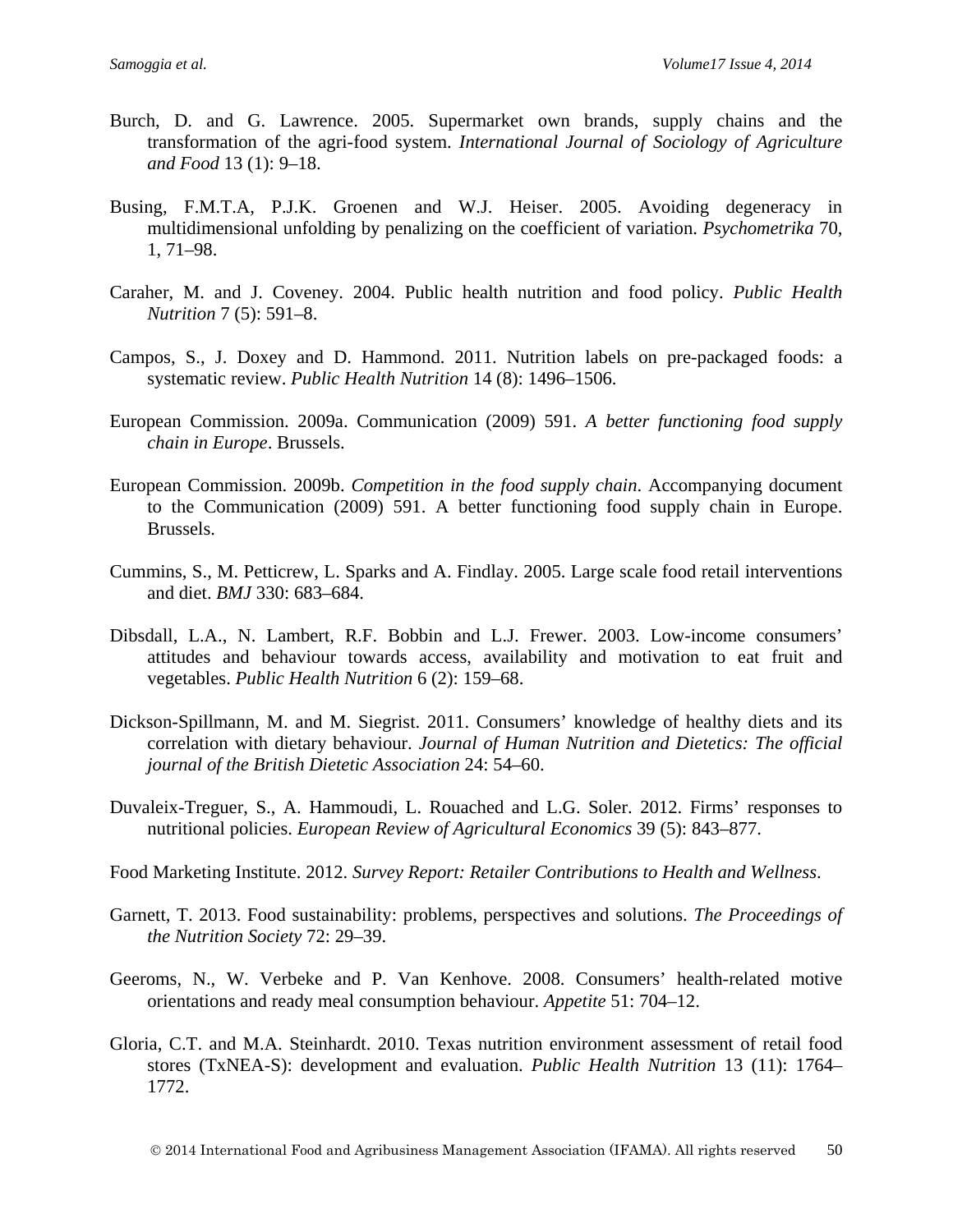- Burch, D. and G. Lawrence. 2005. Supermarket own brands, supply chains and the transformation of the agri-food system. *International Journal of Sociology of Agriculture and Food* 13 (1): 9–18.
- Busing, F.M.T.A, P.J.K. Groenen and W.J. Heiser. 2005. Avoiding degeneracy in multidimensional unfolding by penalizing on the coefficient of variation. *Psychometrika* 70, 1, 71–98.
- Caraher, M. and J. Coveney. 2004. Public health nutrition and food policy. *Public Health Nutrition* 7 (5): 591–8.
- Campos, S., J. Doxey and D. Hammond. 2011. Nutrition labels on pre-packaged foods: a systematic review. *Public Health Nutrition* 14 (8): 1496–1506.
- European Commission. 2009a. Communication (2009) 591. *A better functioning food supply chain in Europe*. Brussels.
- European Commission. 2009b. *Competition in the food supply chain*. Accompanying document to the Communication (2009) 591. A better functioning food supply chain in Europe. Brussels.
- Cummins, S., M. Petticrew, L. Sparks and A. Findlay. 2005. Large scale food retail interventions and diet. *BMJ* 330: 683–684.
- Dibsdall, L.A., N. Lambert, R.F. Bobbin and L.J. Frewer. 2003. Low-income consumers' attitudes and behaviour towards access, availability and motivation to eat fruit and vegetables. *Public Health Nutrition* 6 (2): 159–68.
- Dickson-Spillmann, M. and M. Siegrist. 2011. Consumers' knowledge of healthy diets and its correlation with dietary behaviour. *Journal of Human Nutrition and Dietetics: The official journal of the British Dietetic Association* 24: 54–60.
- Duvaleix-Treguer, S., A. Hammoudi, L. Rouached and L.G. Soler. 2012. Firms' responses to nutritional policies. *European Review of Agricultural Economics* 39 (5): 843–877.
- Food Marketing Institute. 2012. *Survey Report: Retailer Contributions to Health and Wellness*.
- Garnett, T. 2013. Food sustainability: problems, perspectives and solutions. *The Proceedings of the Nutrition Society* 72: 29–39.
- Geeroms, N., W. Verbeke and P. Van Kenhove. 2008. Consumers' health-related motive orientations and ready meal consumption behaviour. *Appetite* 51: 704–12.
- Gloria, C.T. and M.A. Steinhardt. 2010. Texas nutrition environment assessment of retail food stores (TxNEA-S): development and evaluation. *Public Health Nutrition* 13 (11): 1764– 1772.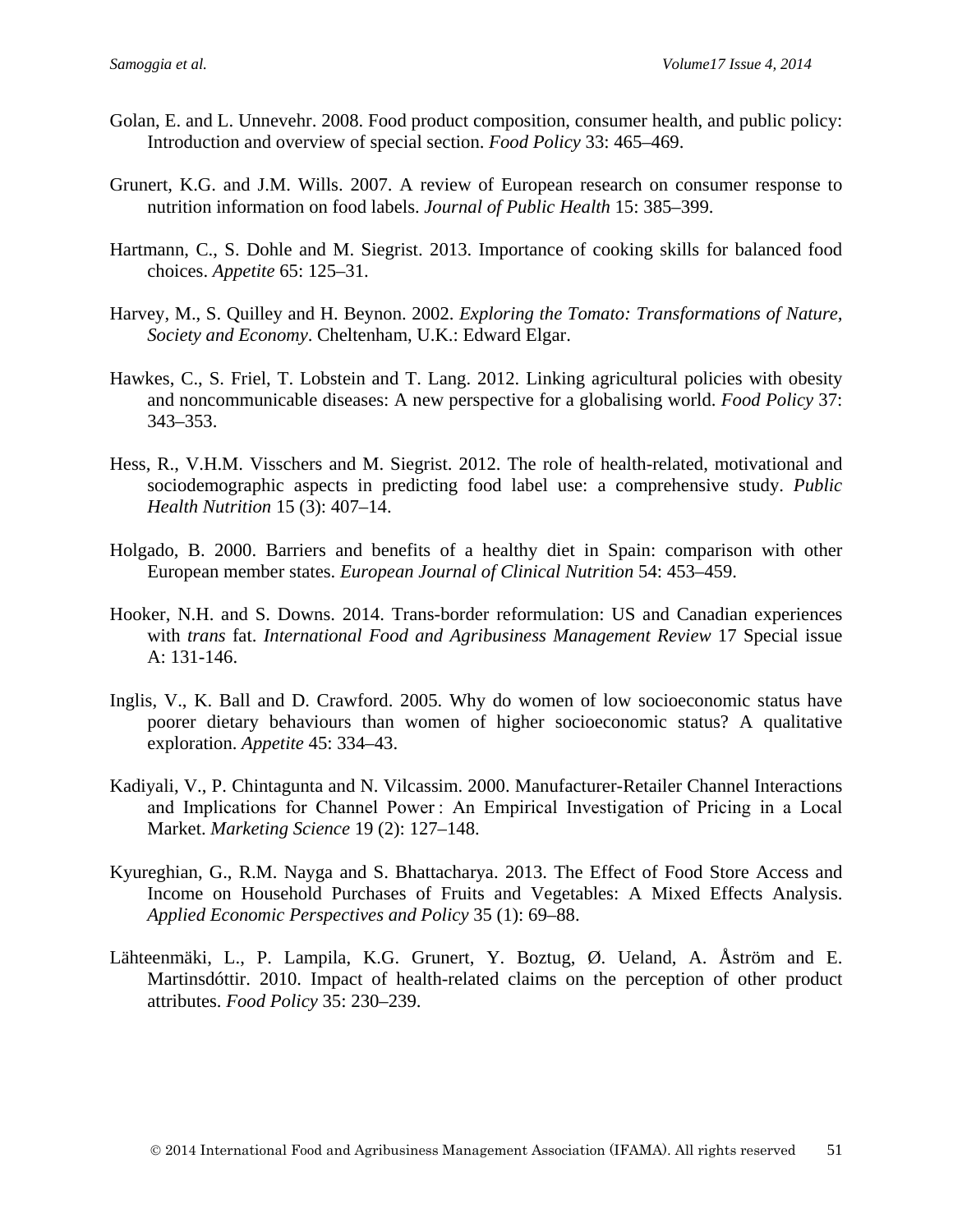- Golan, E. and L. Unnevehr. 2008. Food product composition, consumer health, and public policy: Introduction and overview of special section. *Food Policy* 33: 465–469.
- Grunert, K.G. and J.M. Wills. 2007. A review of European research on consumer response to nutrition information on food labels. *Journal of Public Health* 15: 385–399.
- Hartmann, C., S. Dohle and M. Siegrist. 2013. Importance of cooking skills for balanced food choices. *Appetite* 65: 125–31.
- Harvey, M., S. Quilley and H. Beynon. 2002. *Exploring the Tomato: Transformations of Nature, Society and Economy*. Cheltenham, U.K.: Edward Elgar.
- Hawkes, C., S. Friel, T. Lobstein and T. Lang. 2012. Linking agricultural policies with obesity and noncommunicable diseases: A new perspective for a globalising world. *Food Policy* 37: 343–353.
- Hess, R., V.H.M. Visschers and M. Siegrist. 2012. The role of health-related, motivational and sociodemographic aspects in predicting food label use: a comprehensive study. *Public Health Nutrition* 15 (3): 407–14.
- Holgado, B. 2000. Barriers and benefits of a healthy diet in Spain: comparison with other European member states. *European Journal of Clinical Nutrition* 54: 453–459.
- Hooker, N.H. and S. Downs. 2014. Trans-border reformulation: US and Canadian experiences with *trans* fat. *International Food and Agribusiness Management Review* 17 Special issue A: 131-146.
- Inglis, V., K. Ball and D. Crawford. 2005. Why do women of low socioeconomic status have poorer dietary behaviours than women of higher socioeconomic status? A qualitative exploration. *Appetite* 45: 334–43.
- Kadiyali, V., P. Chintagunta and N. Vilcassim. 2000. Manufacturer-Retailer Channel Interactions and Implications for Channel Power : An Empirical Investigation of Pricing in a Local Market. *Marketing Science* 19 (2): 127–148.
- Kyureghian, G., R.M. Nayga and S. Bhattacharya. 2013. The Effect of Food Store Access and Income on Household Purchases of Fruits and Vegetables: A Mixed Effects Analysis. *Applied Economic Perspectives and Policy* 35 (1): 69–88.
- Lähteenmäki, L., P. Lampila, K.G. Grunert, Y. Boztug, Ø. Ueland, A. Åström and E. Martinsdóttir. 2010. Impact of health-related claims on the perception of other product attributes. *Food Policy* 35: 230–239.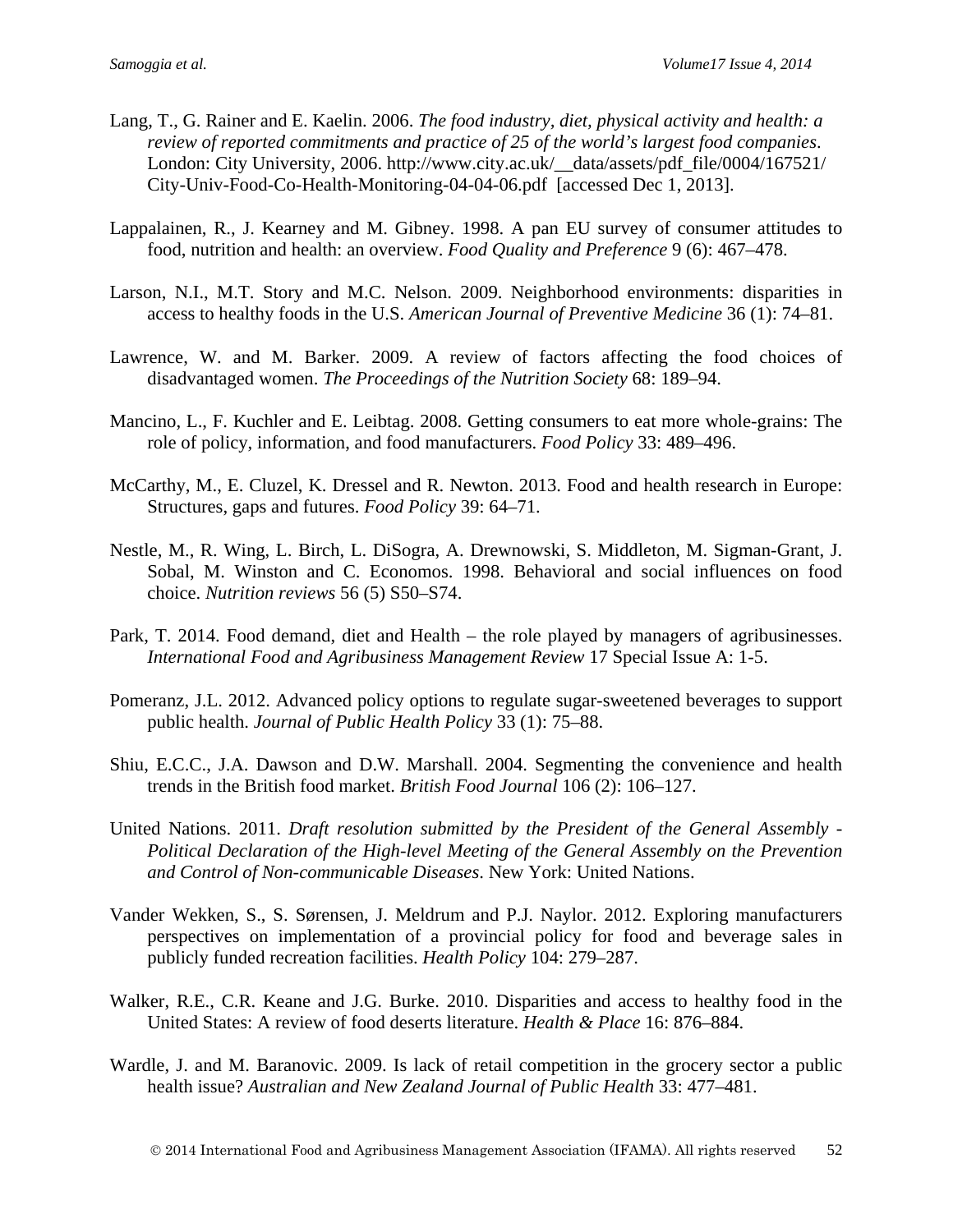- Lang, T., G. Rainer and E. Kaelin. 2006. *The food industry, diet, physical activity and health: a review of reported commitments and practice of 25 of the world's largest food companies*. London: City University, 2006. http://www.city.ac.uk/\_\_data/assets/pdf\_file/0004/167521/ City-Univ-Food-Co-Health-Monitoring-04-04-06.pdf [accessed Dec 1, 2013].
- Lappalainen, R., J. Kearney and M. Gibney. 1998. A pan EU survey of consumer attitudes to food, nutrition and health: an overview. *Food Quality and Preference* 9 (6): 467–478.
- Larson, N.I., M.T. Story and M.C. Nelson. 2009. Neighborhood environments: disparities in access to healthy foods in the U.S. *American Journal of Preventive Medicine* 36 (1): 74–81.
- Lawrence, W. and M. Barker. 2009. A review of factors affecting the food choices of disadvantaged women. *The Proceedings of the Nutrition Society* 68: 189–94.
- Mancino, L., F. Kuchler and E. Leibtag. 2008. Getting consumers to eat more whole-grains: The role of policy, information, and food manufacturers. *Food Policy* 33: 489–496.
- McCarthy, M., E. Cluzel, K. Dressel and R. Newton. 2013. Food and health research in Europe: Structures, gaps and futures. *Food Policy* 39: 64–71.
- Nestle, M., R. Wing, L. Birch, L. DiSogra, A. Drewnowski, S. Middleton, M. Sigman-Grant, J. Sobal, M. Winston and C. Economos. 1998. Behavioral and social influences on food choice. *Nutrition reviews* 56 (5) S50–S74.
- Park, T. 2014. Food demand, diet and Health the role played by managers of agribusinesses. *International Food and Agribusiness Management Review* 17 Special Issue A: 1-5.
- Pomeranz, J.L. 2012. Advanced policy options to regulate sugar-sweetened beverages to support public health. *Journal of Public Health Policy* 33 (1): 75–88.
- Shiu, E.C.C., J.A. Dawson and D.W. Marshall. 2004. Segmenting the convenience and health trends in the British food market. *British Food Journal* 106 (2): 106–127.
- United Nations. 2011. *Draft resolution submitted by the President of the General Assembly - Political Declaration of the High-level Meeting of the General Assembly on the Prevention and Control of Non-communicable Diseases*. New York: United Nations.
- Vander Wekken, S., S. Sørensen, J. Meldrum and P.J. Naylor. 2012. Exploring manufacturers perspectives on implementation of a provincial policy for food and beverage sales in publicly funded recreation facilities. *Health Policy* 104: 279–287.
- Walker, R.E., C.R. Keane and J.G. Burke. 2010. Disparities and access to healthy food in the United States: A review of food deserts literature. *Health & Place* 16: 876–884.
- Wardle, J. and M. Baranovic. 2009. Is lack of retail competition in the grocery sector a public health issue? *Australian and New Zealand Journal of Public Health* 33: 477–481.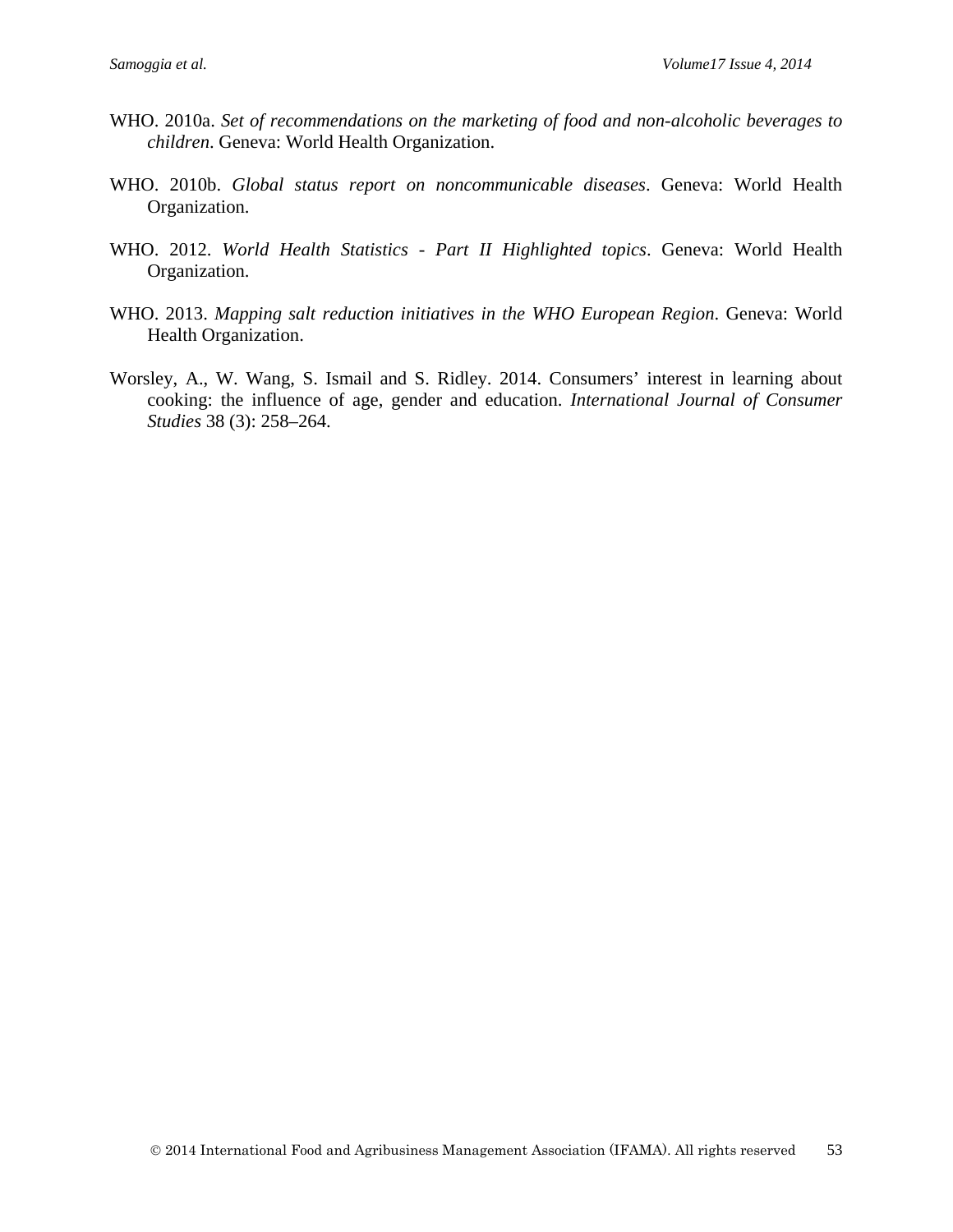- WHO. 2010a. *Set of recommendations on the marketing of food and non-alcoholic beverages to children*. Geneva: World Health Organization.
- WHO. 2010b. *Global status report on noncommunicable diseases*. Geneva: World Health Organization.
- WHO. 2012. *World Health Statistics - Part II Highlighted topics*. Geneva: World Health Organization.
- WHO. 2013. *Mapping salt reduction initiatives in the WHO European Region*. Geneva: World Health Organization.
- Worsley, A., W. Wang, S. Ismail and S. Ridley. 2014. Consumers' interest in learning about cooking: the influence of age, gender and education. *International Journal of Consumer Studies* <sup>38</sup> (3): 258–264.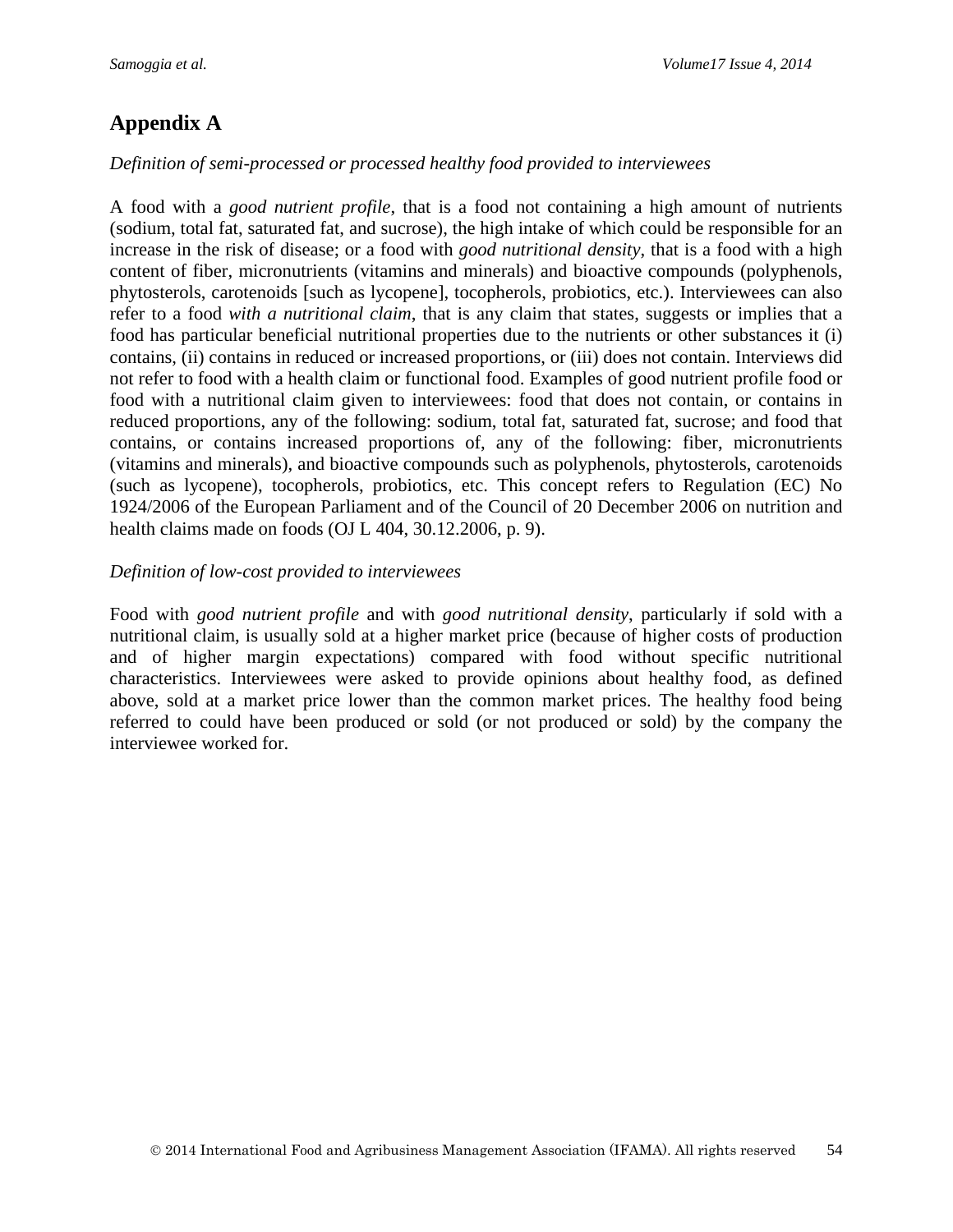# **Appendix A**

### *Definition of semi-processed or processed healthy food provided to interviewees*

A food with a *good nutrient profile*, that is a food not containing a high amount of nutrients (sodium, total fat, saturated fat, and sucrose), the high intake of which could be responsible for an increase in the risk of disease; or a food with *good nutritional density*, that is a food with a high content of fiber, micronutrients (vitamins and minerals) and bioactive compounds (polyphenols, phytosterols, carotenoids [such as lycopene], tocopherols, probiotics, etc.). Interviewees can also refer to a food *with a nutritional claim*, that is any claim that states, suggests or implies that a food has particular beneficial nutritional properties due to the nutrients or other substances it (i) contains, (ii) contains in reduced or increased proportions, or (iii) does not contain. Interviews did not refer to food with a health claim or functional food. Examples of good nutrient profile food or food with a nutritional claim given to interviewees: food that does not contain, or contains in reduced proportions, any of the following: sodium, total fat, saturated fat, sucrose; and food that contains, or contains increased proportions of, any of the following: fiber, micronutrients (vitamins and minerals), and bioactive compounds such as polyphenols, phytosterols, carotenoids (such as lycopene), tocopherols, probiotics, etc. This concept refers to Regulation (EC) No 1924/2006 of the European Parliament and of the Council of 20 December 2006 on nutrition and health claims made on foods (OJ L 404, 30.12.2006, p. 9).

### *Definition of low-cost provided to interviewees*

Food with *good nutrient profile* and with *good nutritional density*, particularly if sold with a nutritional claim, is usually sold at a higher market price (because of higher costs of production and of higher margin expectations) compared with food without specific nutritional characteristics. Interviewees were asked to provide opinions about healthy food, as defined above, sold at a market price lower than the common market prices. The healthy food being referred to could have been produced or sold (or not produced or sold) by the company the interviewee worked for.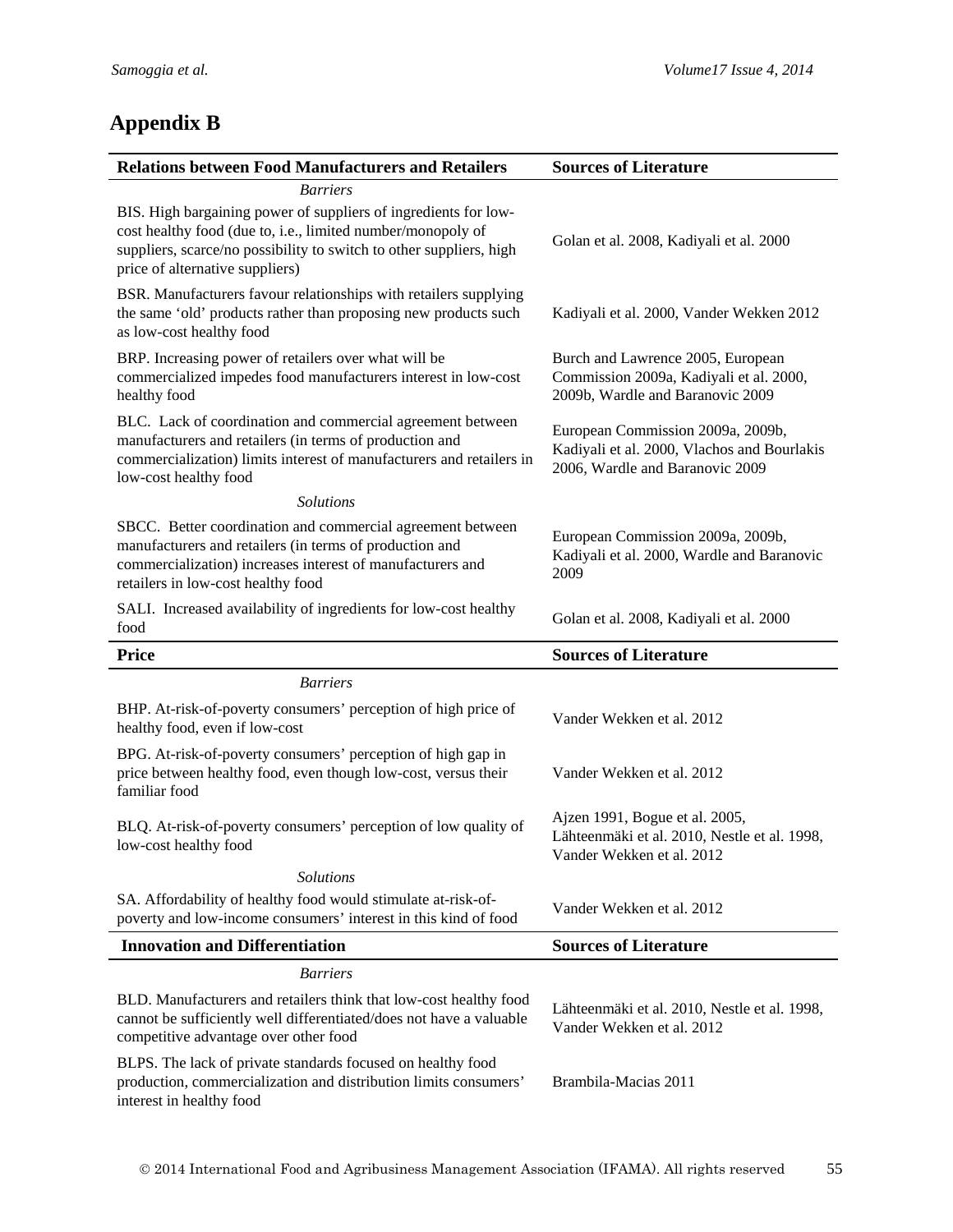# **Appendix B**

| <b>Relations between Food Manufacturers and Retailers</b>                                                                                                                                                                                | <b>Sources of Literature</b>                                                                                        |
|------------------------------------------------------------------------------------------------------------------------------------------------------------------------------------------------------------------------------------------|---------------------------------------------------------------------------------------------------------------------|
| <b>Barriers</b>                                                                                                                                                                                                                          |                                                                                                                     |
| BIS. High bargaining power of suppliers of ingredients for low-<br>cost healthy food (due to, i.e., limited number/monopoly of<br>suppliers, scarce/no possibility to switch to other suppliers, high<br>price of alternative suppliers) | Golan et al. 2008, Kadiyali et al. 2000                                                                             |
| BSR. Manufacturers favour relationships with retailers supplying<br>the same 'old' products rather than proposing new products such<br>as low-cost healthy food                                                                          | Kadiyali et al. 2000, Vander Wekken 2012                                                                            |
| BRP. Increasing power of retailers over what will be<br>commercialized impedes food manufacturers interest in low-cost<br>healthy food                                                                                                   | Burch and Lawrence 2005, European<br>Commission 2009a, Kadiyali et al. 2000,<br>2009b, Wardle and Baranovic 2009    |
| BLC. Lack of coordination and commercial agreement between<br>manufacturers and retailers (in terms of production and<br>commercialization) limits interest of manufacturers and retailers in<br>low-cost healthy food                   | European Commission 2009a, 2009b,<br>Kadiyali et al. 2000, Vlachos and Bourlakis<br>2006, Wardle and Baranovic 2009 |
| <b>Solutions</b>                                                                                                                                                                                                                         |                                                                                                                     |
| SBCC. Better coordination and commercial agreement between<br>manufacturers and retailers (in terms of production and<br>commercialization) increases interest of manufacturers and<br>retailers in low-cost healthy food                | European Commission 2009a, 2009b,<br>Kadiyali et al. 2000, Wardle and Baranovic<br>2009                             |
| SALI. Increased availability of ingredients for low-cost healthy<br>food                                                                                                                                                                 | Golan et al. 2008, Kadiyali et al. 2000                                                                             |
|                                                                                                                                                                                                                                          |                                                                                                                     |
| <b>Price</b>                                                                                                                                                                                                                             | <b>Sources of Literature</b>                                                                                        |
| <b>Barriers</b>                                                                                                                                                                                                                          |                                                                                                                     |
| BHP. At-risk-of-poverty consumers' perception of high price of<br>healthy food, even if low-cost                                                                                                                                         | Vander Wekken et al. 2012                                                                                           |
| BPG. At-risk-of-poverty consumers' perception of high gap in<br>price between healthy food, even though low-cost, versus their<br>familiar food                                                                                          | Vander Wekken et al. 2012                                                                                           |
| BLQ. At-risk-of-poverty consumers' perception of low quality of<br>low-cost healthy food                                                                                                                                                 | Ajzen 1991, Bogue et al. 2005,<br>Lähteenmäki et al. 2010, Nestle et al. 1998,<br>Vander Wekken et al. 2012         |
| <b>Solutions</b>                                                                                                                                                                                                                         |                                                                                                                     |
| SA. Affordability of healthy food would stimulate at-risk-of-<br>poverty and low-income consumers' interest in this kind of food                                                                                                         | Vander Wekken et al. 2012                                                                                           |
| <b>Innovation and Differentiation</b>                                                                                                                                                                                                    | <b>Sources of Literature</b>                                                                                        |
| <b>Barriers</b>                                                                                                                                                                                                                          |                                                                                                                     |
| BLD. Manufacturers and retailers think that low-cost healthy food<br>cannot be sufficiently well differentiated/does not have a valuable<br>competitive advantage over other food                                                        | Lähteenmäki et al. 2010, Nestle et al. 1998,<br>Vander Wekken et al. 2012                                           |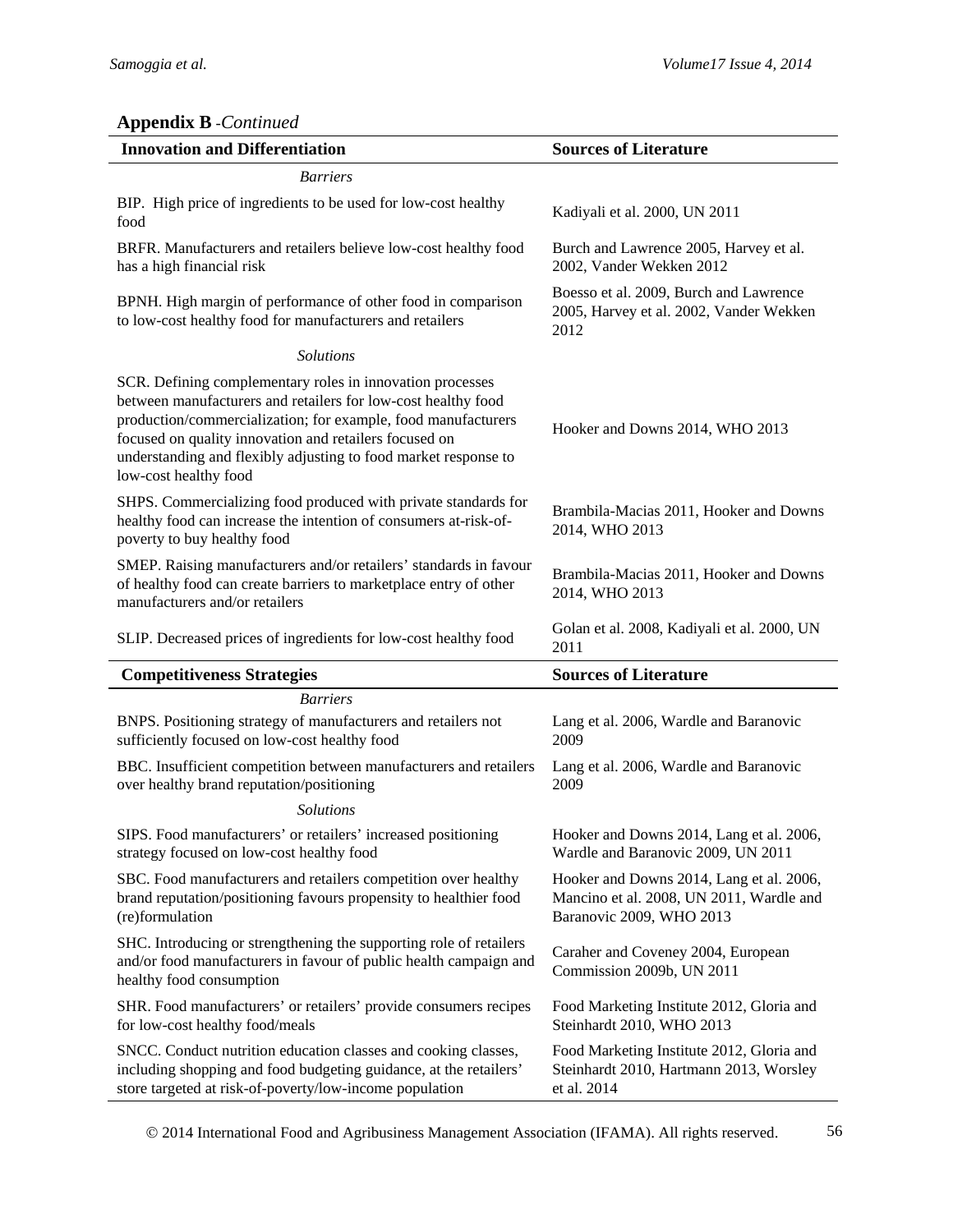# **Appendix B** -*Continued*

| <b>Innovation and Differentiation</b>                                                                                                                                                                                                                                                                                                             | <b>Sources of Literature</b>                                                                                     |
|---------------------------------------------------------------------------------------------------------------------------------------------------------------------------------------------------------------------------------------------------------------------------------------------------------------------------------------------------|------------------------------------------------------------------------------------------------------------------|
| <b>Barriers</b>                                                                                                                                                                                                                                                                                                                                   |                                                                                                                  |
| BIP. High price of ingredients to be used for low-cost healthy<br>food                                                                                                                                                                                                                                                                            | Kadiyali et al. 2000, UN 2011                                                                                    |
| BRFR. Manufacturers and retailers believe low-cost healthy food<br>has a high financial risk                                                                                                                                                                                                                                                      | Burch and Lawrence 2005, Harvey et al.<br>2002, Vander Wekken 2012                                               |
| BPNH. High margin of performance of other food in comparison<br>to low-cost healthy food for manufacturers and retailers                                                                                                                                                                                                                          | Boesso et al. 2009, Burch and Lawrence<br>2005, Harvey et al. 2002, Vander Wekken<br>2012                        |
| <b>Solutions</b>                                                                                                                                                                                                                                                                                                                                  |                                                                                                                  |
| SCR. Defining complementary roles in innovation processes<br>between manufacturers and retailers for low-cost healthy food<br>production/commercialization; for example, food manufacturers<br>focused on quality innovation and retailers focused on<br>understanding and flexibly adjusting to food market response to<br>low-cost healthy food | Hooker and Downs 2014, WHO 2013                                                                                  |
| SHPS. Commercializing food produced with private standards for<br>healthy food can increase the intention of consumers at-risk-of-<br>poverty to buy healthy food                                                                                                                                                                                 | Brambila-Macias 2011, Hooker and Downs<br>2014, WHO 2013                                                         |
| SMEP. Raising manufacturers and/or retailers' standards in favour<br>of healthy food can create barriers to marketplace entry of other<br>manufacturers and/or retailers                                                                                                                                                                          | Brambila-Macias 2011, Hooker and Downs<br>2014, WHO 2013                                                         |
| SLIP. Decreased prices of ingredients for low-cost healthy food                                                                                                                                                                                                                                                                                   | Golan et al. 2008, Kadiyali et al. 2000, UN<br>2011                                                              |
| <b>Competitiveness Strategies</b>                                                                                                                                                                                                                                                                                                                 | <b>Sources of Literature</b>                                                                                     |
| <b>Barriers</b>                                                                                                                                                                                                                                                                                                                                   |                                                                                                                  |
| BNPS. Positioning strategy of manufacturers and retailers not<br>sufficiently focused on low-cost healthy food                                                                                                                                                                                                                                    | Lang et al. 2006, Wardle and Baranovic<br>2009                                                                   |
| BBC. Insufficient competition between manufacturers and retailers<br>over healthy brand reputation/positioning                                                                                                                                                                                                                                    | Lang et al. 2006, Wardle and Baranovic<br>2009                                                                   |
| <b>Solutions</b>                                                                                                                                                                                                                                                                                                                                  |                                                                                                                  |
| SIPS. Food manufacturers' or retailers' increased positioning<br>strategy focused on low-cost healthy food                                                                                                                                                                                                                                        | Hooker and Downs 2014, Lang et al. 2006,<br>Wardle and Baranovic 2009, UN 2011                                   |
| SBC. Food manufacturers and retailers competition over healthy<br>brand reputation/positioning favours propensity to healthier food<br>(re)formulation                                                                                                                                                                                            | Hooker and Downs 2014, Lang et al. 2006,<br>Mancino et al. 2008, UN 2011, Wardle and<br>Baranovic 2009, WHO 2013 |
| SHC. Introducing or strengthening the supporting role of retailers<br>and/or food manufacturers in favour of public health campaign and<br>healthy food consumption                                                                                                                                                                               | Caraher and Coveney 2004, European<br>Commission 2009b, UN 2011                                                  |
| SHR. Food manufacturers' or retailers' provide consumers recipes<br>for low-cost healthy food/meals                                                                                                                                                                                                                                               | Food Marketing Institute 2012, Gloria and<br>Steinhardt 2010, WHO 2013                                           |
| SNCC. Conduct nutrition education classes and cooking classes,<br>including shopping and food budgeting guidance, at the retailers'<br>store targeted at risk-of-poverty/low-income population                                                                                                                                                    | Food Marketing Institute 2012, Gloria and<br>Steinhardt 2010, Hartmann 2013, Worsley<br>et al. 2014              |

2014 International Food and Agribusiness Management Association (IFAMA). All rights reserved. 56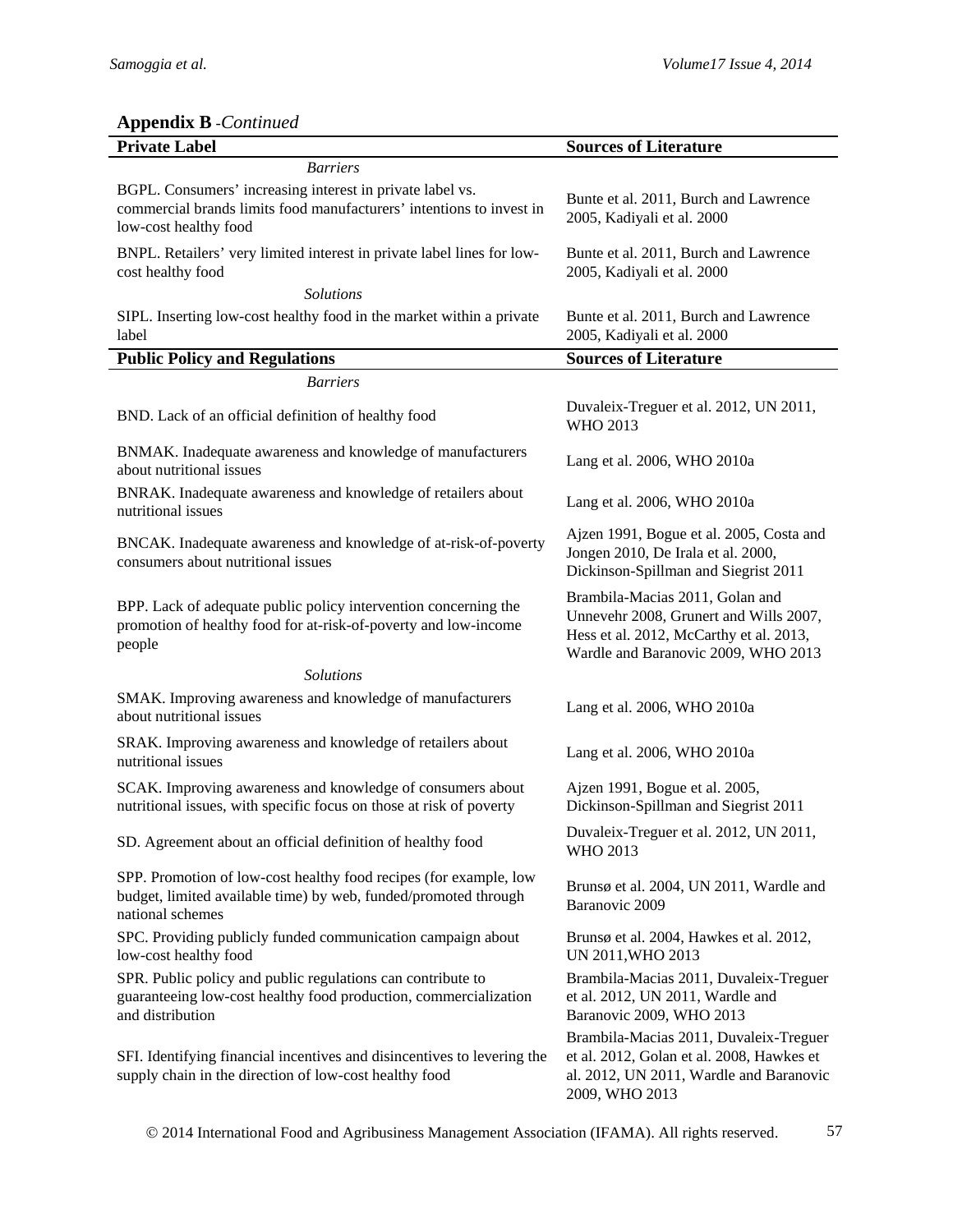# **Appendix B** -*Continued*

| <b>Private Label</b>                                                                                                                                       | <b>Sources of Literature</b>                                                                                                                                |
|------------------------------------------------------------------------------------------------------------------------------------------------------------|-------------------------------------------------------------------------------------------------------------------------------------------------------------|
| <b>Barriers</b>                                                                                                                                            |                                                                                                                                                             |
| BGPL. Consumers' increasing interest in private label vs.<br>commercial brands limits food manufacturers' intentions to invest in<br>low-cost healthy food | Bunte et al. 2011, Burch and Lawrence<br>2005, Kadiyali et al. 2000                                                                                         |
| BNPL. Retailers' very limited interest in private label lines for low-<br>cost healthy food                                                                | Bunte et al. 2011, Burch and Lawrence<br>2005, Kadiyali et al. 2000                                                                                         |
| <b>Solutions</b>                                                                                                                                           |                                                                                                                                                             |
| SIPL. Inserting low-cost healthy food in the market within a private<br>label                                                                              | Bunte et al. 2011, Burch and Lawrence<br>2005, Kadiyali et al. 2000                                                                                         |
| <b>Public Policy and Regulations</b>                                                                                                                       | <b>Sources of Literature</b>                                                                                                                                |
| <b>Barriers</b>                                                                                                                                            |                                                                                                                                                             |
| BND. Lack of an official definition of healthy food                                                                                                        | Duvaleix-Treguer et al. 2012, UN 2011,<br>WHO 2013                                                                                                          |
| BNMAK. Inadequate awareness and knowledge of manufacturers<br>about nutritional issues                                                                     | Lang et al. 2006, WHO 2010a                                                                                                                                 |
| BNRAK. Inadequate awareness and knowledge of retailers about<br>nutritional issues                                                                         | Lang et al. 2006, WHO 2010a                                                                                                                                 |
| BNCAK. Inadequate awareness and knowledge of at-risk-of-poverty<br>consumers about nutritional issues                                                      | Ajzen 1991, Bogue et al. 2005, Costa and<br>Jongen 2010, De Irala et al. 2000,<br>Dickinson-Spillman and Siegrist 2011                                      |
| BPP. Lack of adequate public policy intervention concerning the<br>promotion of healthy food for at-risk-of-poverty and low-income<br>people               | Brambila-Macias 2011, Golan and<br>Unnevehr 2008, Grunert and Wills 2007,<br>Hess et al. 2012, McCarthy et al. 2013,<br>Wardle and Baranovic 2009, WHO 2013 |
| <b>Solutions</b>                                                                                                                                           |                                                                                                                                                             |
| SMAK. Improving awareness and knowledge of manufacturers<br>about nutritional issues                                                                       | Lang et al. 2006, WHO 2010a                                                                                                                                 |
| SRAK. Improving awareness and knowledge of retailers about<br>nutritional issues                                                                           | Lang et al. 2006, WHO 2010a                                                                                                                                 |
| SCAK. Improving awareness and knowledge of consumers about<br>nutritional issues, with specific focus on those at risk of poverty                          | Ajzen 1991, Bogue et al. 2005,<br>Dickinson-Spillman and Siegrist 2011                                                                                      |
| SD. Agreement about an official definition of healthy food                                                                                                 | Duvaleix-Treguer et al. 2012, UN 2011,<br><b>WHO 2013</b>                                                                                                   |
| SPP. Promotion of low-cost healthy food recipes (for example, low<br>budget, limited available time) by web, funded/promoted through<br>national schemes   | Brunsø et al. 2004, UN 2011, Wardle and<br>Baranovic 2009                                                                                                   |
| SPC. Providing publicly funded communication campaign about<br>low-cost healthy food                                                                       | Brunsø et al. 2004, Hawkes et al. 2012,<br>UN 2011, WHO 2013                                                                                                |
| SPR. Public policy and public regulations can contribute to<br>guaranteeing low-cost healthy food production, commercialization<br>and distribution        | Brambila-Macias 2011, Duvaleix-Treguer<br>et al. 2012, UN 2011, Wardle and<br>Baranovic 2009, WHO 2013                                                      |
| SFI. Identifying financial incentives and disincentives to levering the<br>supply chain in the direction of low-cost healthy food                          | Brambila-Macias 2011, Duvaleix-Treguer<br>et al. 2012, Golan et al. 2008, Hawkes et<br>al. 2012, UN 2011, Wardle and Baranovic<br>2009, WHO 2013            |

2014 International Food and Agribusiness Management Association (IFAMA). All rights reserved. 57